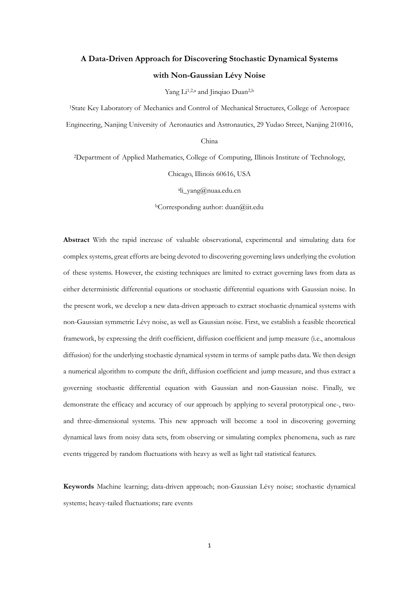# **A Data-Driven Approach for Discovering Stochastic Dynamical Systems with Non-Gaussian Lévy Noise**

Yang Li<sup>1,2,a</sup> and Jinqiao Duan<sup>2,b</sup>

<sup>1</sup>State Key Laboratory of Mechanics and Control of Mechanical Structures, College of Aerospace Engineering, Nanjing University of Aeronautics and Astronautics, 29 Yudao Street, Nanjing 210016,

China

<sup>2</sup>Department of Applied Mathematics, College of Computing, Illinois Institute of Technology, Chicago, Illinois 60616, USA

a [li\\_yang@nuaa.edu.cn](mailto:li_yang@nuaa.edu.cn)

<sup>b</sup>Corresponding author: [duan@iit.edu](mailto:duan@iit.edu)

**Abstract** With the rapid increase of valuable observational, experimental and simulating data for complex systems, great efforts are being devoted to discovering governing laws underlying the evolution of these systems. However, the existing techniques are limited to extract governing laws from data as either deterministic differential equations or stochastic differential equations with Gaussian noise. In the present work, we develop a new data-driven approach to extract stochastic dynamical systems with non-Gaussian symmetric Lévy noise, as well as Gaussian noise. First, we establish a feasible theoretical framework, by expressing the drift coefficient, diffusion coefficient and jump measure (i.e., anomalous diffusion) for the underlying stochastic dynamical system in terms of sample paths data. We then design a numerical algorithm to compute the drift, diffusion coefficient and jump measure, and thus extract a governing stochastic differential equation with Gaussian and non-Gaussian noise. Finally, we demonstrate the efficacy and accuracy of our approach by applying to several prototypical one-, twoand three-dimensional systems. This new approach will become a tool in discovering governing dynamical laws from noisy data sets, from observing or simulating complex phenomena, such as rare events triggered by random fluctuations with heavy as well as light tail statistical features.

**Keywords** Machine learning; data-driven approach; non-Gaussian Lévy noise; stochastic dynamical systems; heavy-tailed fluctuations; rare events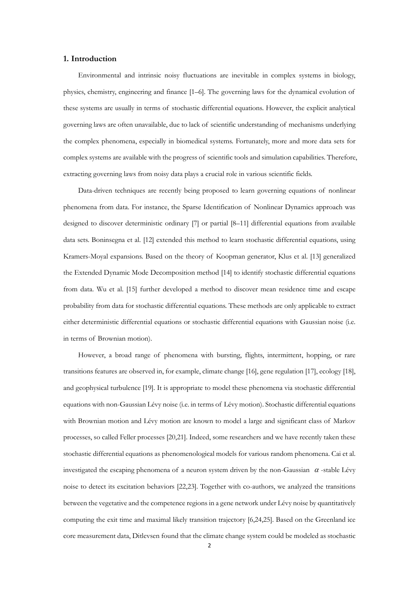#### **1. Introduction**

Environmental and intrinsic noisy fluctuations are inevitable in complex systems in biology, physics, chemistry, engineering and finance [1–6]. The governing laws for the dynamical evolution of these systems are usually in terms of stochastic differential equations. However, the explicit analytical governing laws are often unavailable, due to lack of scientific understanding of mechanisms underlying the complex phenomena, especially in biomedical systems. Fortunately, more and more data sets for complex systems are available with the progress of scientific tools and simulation capabilities. Therefore, extracting governing laws from noisy data plays a crucial role in various scientific fields.

Data-driven techniques are recently being proposed to learn governing equations of nonlinear phenomena from data. For instance, the Sparse Identification of Nonlinear Dynamics approach was designed to discover deterministic ordinary [7] or partial [8–11] differential equations from available data sets. Boninsegna et al. [12] extended this method to learn stochastic differential equations, using Kramers-Moyal expansions. Based on the theory of Koopman generator, Klus et al. [13] generalized the Extended Dynamic Mode Decomposition method [14] to identify stochastic differential equations from data. Wu et al. [15] further developed a method to discover mean residence time and escape probability from data for stochastic differential equations. These methods are only applicable to extract either deterministic differential equations or stochastic differential equations with Gaussian noise (i.e. in terms of Brownian motion).

However, a broad range of phenomena with bursting, flights, intermittent, hopping, or rare transitions features are observed in, for example, climate change [16], gene regulation [17], ecology [18], and geophysical turbulence [19]. It is appropriate to model these phenomena via stochastic differential equations with non-Gaussian Lévy noise (i.e. in terms of Lévy motion). Stochastic differential equations with Brownian motion and Lévy motion are known to model a large and significant class of Markov processes, so called Feller processes [20,21]. Indeed, some researchers and we have recently taken these stochastic differential equations as phenomenological models for various random phenomena. Cai et al. investigated the escaping phenomena of a neuron system driven by the non-Gaussian  $\alpha$ -stable Lévy noise to detect its excitation behaviors [22,23]. Together with co-authors, we analyzed the transitions between the vegetative and the competence regions in a gene network under Lévy noise by quantitatively computing the exit time and maximal likely transition trajectory [6,24,25]. Based on the Greenland ice core measurement data, Ditlevsen found that the climate change system could be modeled as stochastic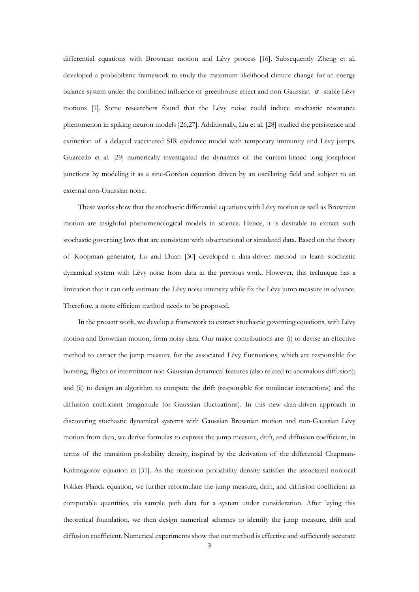differential equations with Brownian motion and Lévy process [16]. Subsequently Zheng et al. developed a probabilistic framework to study the maximum likelihood climate change for an energy balance system under the combined influence of greenhouse effect and non-Gaussian  $\alpha$ -stable Lévy motions [1]. Some researchers found that the Lévy noise could induce stochastic resonance phenomenon in spiking neuron models [26,27]. Additionally, Liu et al. [28] studied the persistence and extinction of a delayed vaccinated SIR epidemic model with temporary immunity and Lévy jumps. Guarcello et al. [29] numerically investigated the dynamics of the current-biased long Josephson junctions by modeling it as a sine-Gordon equation driven by an oscillating field and subject to an external non-Gaussian noise.

These works show that the stochastic differential equations with Lévy motion as well as Brownian motion are insightful phenomenological models in science. Hence, it is desirable to extract such stochastic governing laws that are consistent with observational or simulated data. Based on the theory of Koopman generator, Lu and Duan [30] developed a data-driven method to learn stochastic dynamical system with Lévy noise from data in the previous work. However, this technique has a limitation that it can only estimate the Lévy noise intensity while fix the Lévy jump measure in advance. Therefore, a more efficient method needs to be proposed.

In the present work, we develop a framework to extract stochastic governing equations, with Lévy motion and Brownian motion, from noisy data. Our major contributions are: (i) to devise an effective method to extract the jump measure for the associated Lévy fluctuations, which are responsible for bursting, flights or intermittent non-Gaussian dynamical features (also related to anomalous diffusion); and (ii) to design an algorithm to compute the drift (responsible for nonlinear interactions) and the diffusion coefficient (magnitude for Gaussian fluctuations). In this new data-driven approach in discovering stochastic dynamical systems with Gaussian Brownian motion and non-Gaussian Lévy motion from data, we derive formulas to express the jump measure, drift, and diffusion coefficient, in terms of the transition probability density, inspired by the derivation of the differential Chapman-Kolmogorov equation in [31]. As the transition probability density satisfies the associated nonlocal Fokker-Planck equation, we further reformulate the jump measure, drift, and diffusion coefficient as computable quantities, via sample path data for a system under consideration. After laying this theoretical foundation, we then design numerical schemes to identify the jump measure, drift and diffusion coefficient. Numerical experiments show that our method is effective and sufficiently accurate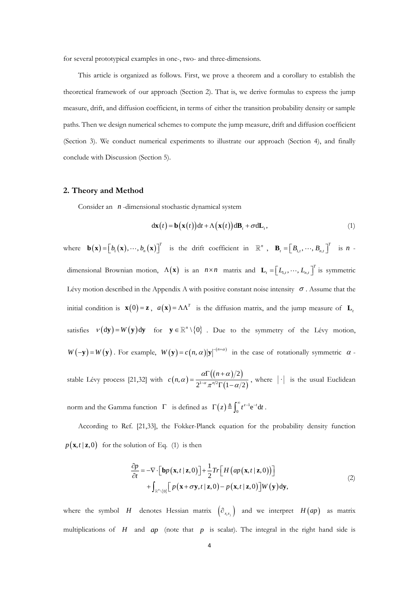for several prototypical examples in one-, two- and three-dimensions.

This article is organized as follows. First, we prove a theorem and a corollary to establish the theoretical framework of our approach (Section 2). That is, we derive formulas to express the jump measure, drift, and diffusion coefficient, in terms of either the transition probability density or sample paths. Then we design numerical schemes to compute the jump measure, drift and diffusion coefficient (Section 3). We conduct numerical experiments to illustrate our approach (Section 4), and finally conclude with Discussion (Section 5).

#### **2. Theory and Method**

Consider an *<sup>n</sup>* -dimensional stochastic dynamical system

$$
dx(t) = b(x(t))dt + \Lambda(x(t))dB_t + \sigma dL_t,
$$
\n(1)

where  $\mathbf{b}(\mathbf{x}) = [b_1(\mathbf{x}), \dots, b_n(\mathbf{x})]^T$  $\mathbf{b}(\mathbf{x}) = [b_1(\mathbf{x}), \dots, b_n(\mathbf{x})]^T$  is the drift coefficient in  $\mathbb{R}^n$ ,  $\mathbf{B}_t = [B_{1,t}, \dots, B_{n,t}]$ *T*  $\mathbf{B}_{t} = \left[ B_{1,t}, \cdots, B_{n,t} \right]^{t}$  is *n* dimensional Brownian motion,  $\Lambda(\mathbf{x})$  is an  $n \times n$  matrix and  $\mathbf{L}_{t} = \begin{bmatrix} L_{1,t}, \cdots, L_{n} \end{bmatrix}$ *T*  $\mathbf{L}_t = \left[ L_{1,t}, \cdots, L_{n,t} \right]^t$  is symmetric Lévy motion described in the Appendix A with positive constant noise intensity  $\sigma$ . Assume that the initial condition is  $\mathbf{x}(0) = \mathbf{z}$ ,  $a(\mathbf{x}) = \Lambda \Lambda^T$  is the diffusion matrix, and the jump measure of  $\mathbf{L}_t$ satisfies  $v(dy) = W(y)dy$  for  $y \in \mathbb{R}^n \setminus \{0\}$ . Due to the symmetry of the Lévy motion,  $W(-y) = W(y)$ . For example,  $W(y) = c(n, \alpha)|y|^{-(n+\alpha)}$  in the case of rotationally symmetric  $\alpha$ . stable Lévy process [21,32] with  $c(n, \alpha) = \frac{\alpha \Gamma((n+\alpha)/2)}{2^{1-\alpha} n^2 \Gamma(1-\alpha)}$  $\int^{1-\alpha} \pi^{n/2} \Gamma\big(1-\alpha/2\big)$ 2  $(1-\alpha/2)^{1-\alpha} \pi^{n/2} \Gamma(1-\alpha/2)$ *n*  $c(n, \alpha) = \frac{1}{\alpha^{1-\alpha}}$  $\alpha$   $11n + \alpha$  $\alpha) = \frac{1}{2^{1-\alpha}\pi^{n/2}\Gamma(1-\alpha)}$  $=\frac{\alpha\Gamma((n+\alpha)/2)}{2^{1-\alpha}\pi^{n/2}\Gamma(1-\alpha/2)}$ , where  $|\cdot|$  is the usual Euclidean

norm and the Gamma function  $\Gamma$  is defined as  $\Gamma(z) \triangleq \int_0^z t^{z-1} dt$  $\Gamma(z) \triangleq \int_0^\infty t^{z-1} e^{-t} dt$ .

According to Ref. [21,33], the Fokker-Planck equation for the probability density function  $p(\mathbf{x}, t \mid \mathbf{z}, 0)$  for the solution of Eq. (1) is then

$$
\frac{\partial p}{\partial t} = -\nabla \cdot \left[ \mathbf{b}p(\mathbf{x}, t \mid \mathbf{z}, 0) \right] + \frac{1}{2} Tr \left[ H \left( ap(\mathbf{x}, t \mid \mathbf{z}, 0) \right) \right] + \int_{\mathbb{R}^n \setminus \{0\}} \left[ p(\mathbf{x} + \sigma \mathbf{y}, t \mid \mathbf{z}, 0) - p(\mathbf{x}, t \mid \mathbf{z}, 0) \right] W(\mathbf{y}) d\mathbf{y},\tag{2}
$$

where the symbol *H* denotes Hessian matrix  $(\partial_{x_ix_j})$  and we interpret  $H(ap)$  as matrix multiplications of  $H$  and  $ap$  (note that  $p$  is scalar). The integral in the right hand side is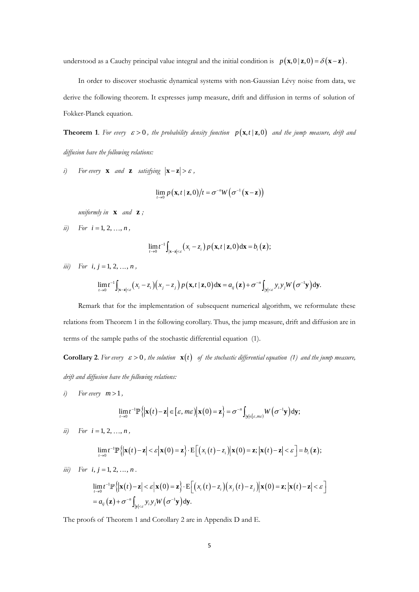understood as a Cauchy principal value integral and the initial condition is  $p(\mathbf{x},0|\mathbf{z},0) = \delta(\mathbf{x}-\mathbf{z})$ .

In order to discover stochastic dynamical systems with non-Gaussian Lévy noise from data, we derive the following theorem. It expresses jump measure, drift and diffusion in terms of solution of Fokker-Planck equation.

**Theorem 1**. For every  $\varepsilon > 0$ , the probability density function  $p(\mathbf{x}, t \mid \mathbf{z}, 0)$  and the jump measure, drift and *diffusion have the following relations:*

*i*) For every **x** and **z** satisfying  $|\mathbf{x} - \mathbf{z}| > \varepsilon$ ,

$$
\lim_{t\to 0} p(\mathbf{x},t\,|\,\mathbf{z},0)\big/t = \sigma^{-n}W\big(\sigma^{-1}(\mathbf{x}-\mathbf{z})\big)
$$

*uniformly in*  **x** *and*  **z** *;*

*ii*) *For*  $i = 1, 2, ..., n$ ,

$$
\lim_{t\to 0}t^{-1}\int_{|\mathbf{x}-\mathbf{z}|<\varepsilon}\big(x_i-z_i\big)p\big(\mathbf{x},t\mid \mathbf{z},0\big)\mathrm{d}\mathbf{x}=b_i\big(\mathbf{z}\big);
$$

*iii*) For  $i, j = 1, 2, ..., n$ ,

$$
j = 1, 2, ..., n,
$$
  
\n
$$
\lim_{t \to 0} t^{-1} \int_{|\mathbf{x}-\mathbf{z}| < \varepsilon} (x_i - z_i) (x_j - z_j) p(\mathbf{x}, t | \mathbf{z}, 0) d\mathbf{x} = a_{ij}(\mathbf{z}) + \sigma^{-n} \int_{|\mathbf{y}| < \varepsilon} y_i y_j W(\sigma^{-1} \mathbf{y}) d\mathbf{y}.
$$

Remark that for the implementation of subsequent numerical algorithm, we reformulate these relations from Theorem 1 in the following corollary. Thus, the jump measure, drift and diffusion are in terms of the sample paths of the stochastic differential equation (1).

**Corollary 2.** For every  $\varepsilon > 0$ , the solution  $\mathbf{x}(t)$  of the stochastic differential equation (1) and the jump measure, *drift and diffusion have the following relations:*

*i*) For every  $m > 1$ ,

$$
\lim_{t\to 0}t^{-1}\mathbb{P}\left\{\left|\mathbf{x}(t)-\mathbf{z}\right|\in\left[\varepsilon,m\varepsilon\right)\right|\mathbf{x}(0)=\mathbf{z}\right\}=\sigma^{-n}\int_{|\mathbf{y}|\in\left[\varepsilon,m\varepsilon\right)}W\left(\sigma^{-1}\mathbf{y}\right)\mathrm{d}\mathbf{y};
$$

*ii*) *For*  $i = 1, 2, ..., n$ ,

$$
\lim_{t\to 0} t^{-1} \mathbb{P}\left\{ \left| \mathbf{x}(t) - \mathbf{z} \right| < \varepsilon \left| \mathbf{x}(0) = \mathbf{z} \right\} \cdot \mathbb{E}\Big[\Big(x_i(t) - z_i\Big) \Big| \mathbf{x}(0) = \mathbf{z}; \left| \mathbf{x}(t) - \mathbf{z} \right| < \varepsilon \Big] = b_i(\mathbf{z});
$$

*iii*) *For*  $i, j = 1, 2, ..., n$ .

$$
\lim_{t\to 0} t^{-1} \mathbb{P}\left\{ \left| \mathbf{x}(t) - \mathbf{z} \right| < \varepsilon \left| \mathbf{x}(0) = \mathbf{z} \right\} \cdot \mathbb{E}\Big[ \left( x_i(t) - z_i \right) \left( x_j(t) - z_j \right) \middle| \mathbf{x}(0) = \mathbf{z}; \left| \mathbf{x}(t) - \mathbf{z} \right| < \varepsilon \Big] = a_{ij}(\mathbf{z}) + \sigma^{-n} \int_{|\mathbf{y}| < \varepsilon} y_i y_j W\Big( \sigma^{-1} \mathbf{y} \Big) d\mathbf{y}.
$$

The proofs of Theorem 1 and Corollary 2 are in Appendix D and E.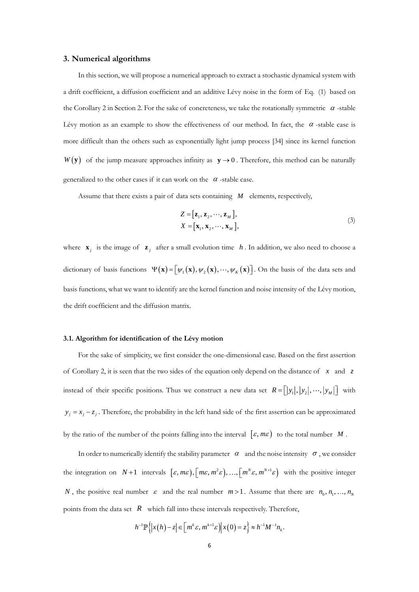#### **3. Numerical algorithms**

In this section, we will propose a numerical approach to extract a stochastic dynamical system with a drift coefficient, a diffusion coefficient and an additive Lévy noise in the form of Eq. (1) based on the Corollary 2 in Section 2. For the sake of concreteness, we take the rotationally symmetric  $\alpha$ -stable Lévy motion as an example to show the effectiveness of our method. In fact, the  $\alpha$ -stable case is more difficult than the others such as exponentially light jump process [34] since its kernel function  $W(y)$  of the jump measure approaches infinity as  $y \rightarrow 0$ . Therefore, this method can be naturally generalized to the other cases if it can work on the  $\alpha$ -stable case.

Assume that there exists a pair of data sets containing *M* elements, respectively,

$$
Z = [\mathbf{z}_1, \mathbf{z}_2, \cdots, \mathbf{z}_M],
$$
  
\n
$$
X = [\mathbf{x}_1, \mathbf{x}_2, \cdots, \mathbf{x}_M],
$$
\n(3)

where  $\mathbf{x}_j$  is the image of  $\mathbf{z}_j$  after a small evolution time h. In addition, we also need to choose a dictionary of basis functions  $\Psi(\mathbf{x}) = [\psi_1(\mathbf{x}), \psi_2(\mathbf{x}), \cdots, \psi_K(\mathbf{x})]$ . On the basis of the data sets and basis functions, what we want to identify are the kernel function and noise intensity of the Lévy motion, the drift coefficient and the diffusion matrix.

#### **3.1. Algorithm for identification of the Lévy motion**

For the sake of simplicity, we first consider the one-dimensional case. Based on the first assertion of Corollary 2, it is seen that the two sides of the equation only depend on the distance of *x* and *z* instead of their specific positions. Thus we construct a new data set  $R = [y_1], [y_2], \dots, [y_M]$  with  $y_j = x_j - z_j$ . Therefore, the probability in the left hand side of the first assertion can be approximated by the ratio of the number of the points falling into the interval  $[\varepsilon, m\varepsilon)$  to the total number M.

In order to numerically identify the stability parameter  $\alpha$  and the noise intensity  $\sigma$ , we consider the integration on  $N+1$  intervals  $[\varepsilon, m\varepsilon), [m\varepsilon, m^2\varepsilon), ..., [m^N\varepsilon, m^{N+1}\varepsilon]$  with the positive integer *N*, the positive real number  $\varepsilon$  and the real number  $m > 1$ . Assume that there are  $n_0, n_1, ..., n_N$ points from the data set *R* which fall into these intervals respectively. Therefore,

$$
h^{-1}\mathbb{P}\left\{|x(h)-z|\in\left[m^k\varepsilon,m^{k+1}\varepsilon\right)\big|x(0)=z\right\}\approx h^{-1}M^{-1}n_k.
$$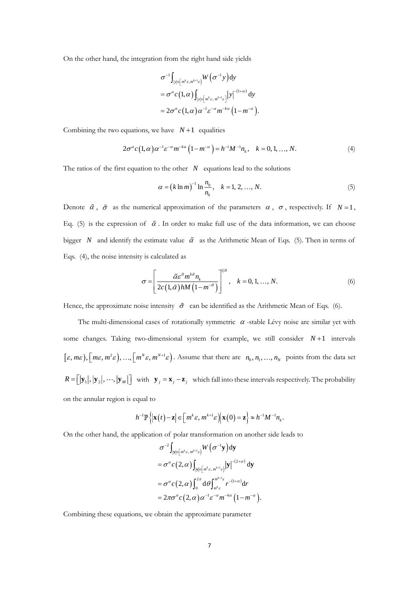On the other hand, the integration from the right hand side yields

$$
\sigma^{-1} \int_{|y| \in [m^k \varepsilon, m^{k+1} \varepsilon)} W(\sigma^{-1} y) dy
$$
  
= 
$$
\sigma^{\alpha} c(1, \alpha) \int_{|y| \in [m^k \varepsilon, m^{k+1} \varepsilon]} |y|^{-(1+\alpha)} dy
$$
  
= 
$$
2\sigma^{\alpha} c(1, \alpha) \alpha^{-1} \varepsilon^{-\alpha} m^{-k\alpha} (1-m^{-\alpha}).
$$

Combining the two equations, we have  $N+1$  equalities

$$
2\sigma^{\alpha}c(1,\alpha)\alpha^{-1}\varepsilon^{-\alpha}m^{-k\alpha}(1-m^{-\alpha})=h^{-1}M^{-1}n_{k}, \quad k=0,1,...,N.
$$
 (4)

The ratios of the first equation to the other  $N$  equations lead to the solutions

$$
\alpha = (k \ln m)^{-1} \ln \frac{n_0}{n_k}, \quad k = 1, 2, ..., N. \tag{5}
$$

Denote  $\tilde{\alpha}$ ,  $\tilde{\sigma}$  as the numerical approximation of the parameters  $\alpha$ ,  $\sigma$ , respectively. If  $N=1$ , Eq. (5) is the expression of  $\tilde{\alpha}$ . In order to make full use of the data information, we can choose bigger N and identify the estimate value  $\alpha$  as the Arithmetic Mean of Eqs. (5). Then in terms of Eqs. (4), the noise intensity is calculated as

$$
\sigma = \left[ \frac{\tilde{\alpha} \varepsilon^{\tilde{\alpha}} m^{k\tilde{\alpha}} n_k}{2c(1,\tilde{\alpha})hM(1-m^{-\tilde{\alpha}})} \right]^{l/\tilde{\alpha}}, \quad k = 0, 1, ..., N.
$$
 (6)

Hence, the approximate noise intensity  $\tilde{\sigma}$  can be identified as the Arithmetic Mean of Eqs. (6).

The multi-dimensional cases of rotationally symmetric  $\alpha$ -stable Lévy noise are similar yet with some changes. Taking two-dimensional system for example, we still consider  $N+1$  intervals  $[\varepsilon, m\varepsilon), [m\varepsilon, m^2\varepsilon), ..., [m^N \varepsilon, m^{N+1}\varepsilon]$ . Assume that there are  $n_0, n_1, ..., n_N$  points from the data set  $R = [|\mathbf{y}_1|, |\mathbf{y}_2|, \cdots, |\mathbf{y}_M|]$  with  $\mathbf{y}_j = \mathbf{x}_j - \mathbf{z}_j$  which fall into these intervals respectively. The probability on the annular region is equal to

$$
h^{-1}\mathbb{P}\left\{\left|\mathbf{x}(t)-\mathbf{z}\right|\in\left[m^k\mathcal{E},m^{k+1}\mathcal{E}\right)\right|\mathbf{x}(0)=\mathbf{z}\right\}\approx h^{-1}M^{-1}n_k.
$$

On the other hand, the application of polar transformation on another side leads to

$$
\sigma^{-2} \int_{|\mathbf{y}| \in [m^k \varepsilon, m^{k+1} \varepsilon]} W(\sigma^{-1} \mathbf{y}) d\mathbf{y}
$$
  
\n
$$
= \sigma^{\alpha} c(2, \alpha) \int_{|\mathbf{y}| \in [m^k \varepsilon, m^{k+1} \varepsilon]} |\mathbf{y}|^{-(2+\alpha)} d\mathbf{y}
$$
  
\n
$$
= \sigma^{\alpha} c(2, \alpha) \int_0^{2\pi} d\theta \int_{m^k \varepsilon}^{m^{k+1} \varepsilon} r^{-(1+\alpha)} dr
$$
  
\n
$$
= 2\pi \sigma^{\alpha} c(2, \alpha) \alpha^{-1} \varepsilon^{-\alpha} m^{-k\alpha} (1-m^{-\alpha}).
$$

Combining these equations, we obtain the approximate parameter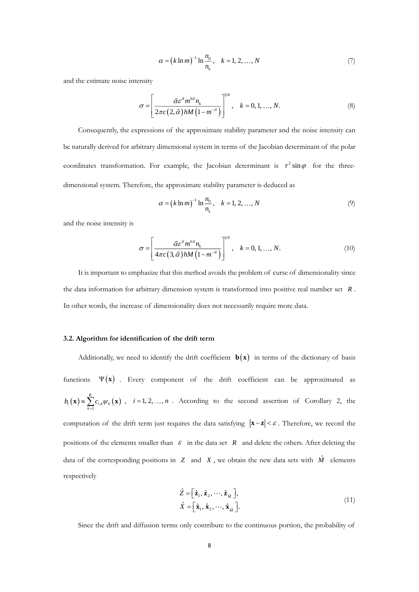$$
\alpha = (k \ln m)^{-1} \ln \frac{n_0}{n_k}, \quad k = 1, 2, ..., N
$$
 (7)

and the estimate noise intensity

$$
\sigma = \left[ \frac{\tilde{\alpha} \varepsilon^{\tilde{\alpha}} m^{k\tilde{\alpha}} n_k}{2\pi c (2, \tilde{\alpha}) h M \left( 1 - m^{-\tilde{\alpha}} \right)} \right]^{1/\tilde{\alpha}}, \quad k = 0, 1, ..., N.
$$
\n(8)

Consequently, the expressions of the approximate stability parameter and the noise intensity can be naturally derived for arbitrary dimensional system in terms of the Jacobian determinant of the polar coordinates transformation. For example, the Jacobian determinant is  $r^2 \sin \varphi$  for the threedimensional system. Therefore, the approximate stability parameter is deduced as

$$
\alpha = (k \ln m)^{-1} \ln \frac{n_0}{n_k}, \quad k = 1, 2, ..., N
$$
 (9)

and the noise intensity is

$$
\sigma = \left[ \frac{\tilde{\alpha} \varepsilon^{\tilde{\alpha}} m^{k\tilde{\alpha}} n_k}{4\pi c \left( 3, \tilde{\alpha} \right) h M \left( 1 - m^{-\tilde{\alpha}} \right)} \right]^{1/\tilde{\alpha}}, \quad k = 0, 1, ..., N. \tag{10}
$$

It is important to emphasize that this method avoids the problem of curse of dimensionality since the data information for arbitrary dimension system is transformed into positive real number set *<sup>R</sup>* . In other words, the increase of dimensionality does not necessarily require more data.

#### **3.2. Algorithm for identification of the drift term**

Additionally, we need to identify the drift coefficient  $\mathbf{b}(\mathbf{x})$  in terms of the dictionary of basis functions  $\Psi(x)$  . Every component of the drift coefficient can be approximated as  $(\mathbf{x}) \approx \sum_{k=1}^{\infty} c_{i,k} \psi_k(\mathbf{x})$ *K*  $b_i(\mathbf{x}) \approx \sum_{k=1}^n c_{i,k} \psi_k(\mathbf{x})$ ,  $i = 1, 2, ..., n$ . According to the second assertion of Corollary 2, the computation of the drift term just requires the data satisfying  $\mathbf{x} - \mathbf{z} < \varepsilon$ . Therefore, we record the positions of the elements smaller than  $\varepsilon$  in the data set  $R$  and delete the others. After deleting the data of the corresponding positions in  $Z$  and  $X$ , we obtain the new data sets with  $\hat{M}$  elements respectively

$$
\hat{Z} = \left[\hat{\mathbf{z}}_1, \hat{\mathbf{z}}_2, \cdots, \hat{\mathbf{z}}_{\hat{M}}\right],
$$
\n
$$
\hat{X} = \left[\hat{\mathbf{x}}_1, \hat{\mathbf{x}}_2, \cdots, \hat{\mathbf{x}}_{\hat{M}}\right].
$$
\n(11)

Since the drift and diffusion terms only contribute to the continuous portion, the probability of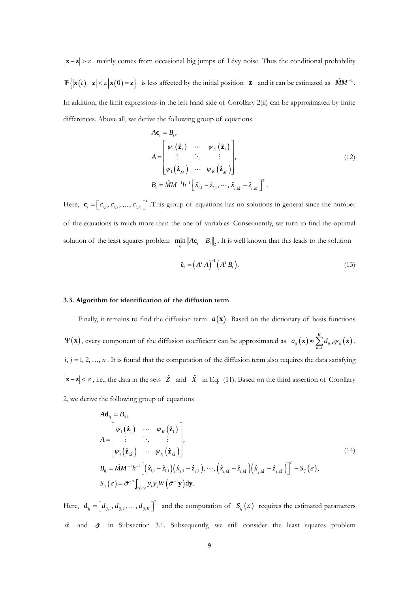$\mathbf{x}$  − **z**  $>$   $\varepsilon$  mainly comes from occasional big jumps of Lévy noise. Thus the conditional probability  $\left\{ |\mathbf{x}(t) - \mathbf{z}| < \varepsilon | \mathbf{x}(0) = \mathbf{z} \right\}$  is less affected by the initial position **z** and it can be estimated as  $\hat{M}M^{-1}$ . In addition, the limit expressions in the left hand side of Corollary 2(ii) can be approximated by finite differences. Above all, we derive the following group of equations

$$
A\mathbf{c}_{i} = B_{i},
$$
\n
$$
A = \begin{bmatrix} \psi_{1}(\hat{\mathbf{z}}_{1}) & \cdots & \psi_{K}(\hat{\mathbf{z}}_{1}) \\ \vdots & \ddots & \vdots \\ \psi_{1}(\hat{\mathbf{z}}_{\hat{M}}) & \cdots & \psi_{K}(\hat{\mathbf{z}}_{\hat{M}}) \end{bmatrix},
$$
\n
$$
B_{i} = \hat{M}M^{-1}h^{-1} \Big[ \hat{x}_{i,1} - \hat{z}_{i,1}, \cdots, \hat{x}_{i,\hat{M}} - \hat{z}_{i,\hat{M}} \Big]^{T}.
$$
\n(12)

Here,  $\mathbf{c}_i = \begin{vmatrix} c_{i,1}, c_{i,2}, ..., c_i \end{vmatrix}$ *T*  $\mathbf{c}_i = \left[c_{i,1}, c_{i,2}, \dots, c_{i,K}\right]$ . This group of equations has no solutions in general since the number of the equations is much more than the one of variables. Consequently, we turn to find the optimal solution of the least squares problem  $\min_{\mathbf{c}_i} ||A\mathbf{c}_i - B_i||_2$ . It is well known that this leads to the solution

$$
\tilde{\mathbf{c}}_i = \left(A^T A\right)^{-1} \left(A^T B_i\right). \tag{13}
$$

#### **3.3. Algorithm for identification of the diffusion term**

Finally, it remains to find the diffusion term  $a(\mathbf{x})$ . Based on the dictionary of basis functions  $\Psi(\mathbf{x})$ , every component of the diffusion coefficient can be approximated as  $a_{ij}(\mathbf{x}) \approx \sum_{k=1} d_{ij,k} \psi_k(\mathbf{x})$ *K*  $a_{ij}(\mathbf{x}) \approx \sum_{k=1}^{n} d_{ij,k} \psi_k$  $\mathbf{x}) \approx \sum d_{ij,k} \psi_k(\mathbf{x}),$  $i, j = 1, 2, \ldots, n$ . It is found that the computation of the diffusion term also requires the data satisfying **x** − **z**  $|<\varepsilon$ , i.e., the data in the sets  $\hat{Z}$  and  $\hat{X}$  in Eq. (11). Based on the third assertion of Corollary 2, we derive the following group of equations

$$
A\mathbf{d}_{ij} = B_{ij},
$$
\n
$$
A = \begin{bmatrix} \psi_1(\hat{\mathbf{z}}_1) & \cdots & \psi_K(\hat{\mathbf{z}}_1) \\ \vdots & \ddots & \vdots \\ \psi_1(\hat{\mathbf{z}}_{\hat{M}}) & \cdots & \psi_K(\hat{\mathbf{z}}_{\hat{M}}) \end{bmatrix},
$$
\n
$$
B_{ij} = \hat{M}M^{-1}h^{-1}\Big[ (\hat{x}_{i,1} - \hat{z}_{i,1})(\hat{x}_{j,1} - \hat{z}_{j,1}), \cdots, (\hat{x}_{i,\hat{M}} - \hat{z}_{i,\hat{M}})(\hat{x}_{j,\hat{M}} - \hat{z}_{j,\hat{M}})\Big]^T - S_{ij}(\varepsilon),
$$
\n
$$
S_{ij}(\varepsilon) = \tilde{\sigma}^{-n} \int_{|\mathbf{y}| < \varepsilon} y_i y_j W(\tilde{\sigma}^{-1} \mathbf{y}) \, \mathrm{d}\mathbf{y}.
$$
\n(14)

Here,  $\mathbf{d}_{ij} = \left| d_{ij,1}, d_{ij,2}, \ldots, d_{ij,1} \right|$ *T*  $\mathbf{d}_{ij} = \begin{bmatrix} d_{ij,1}, d_{ij,2}, ..., d_{ij,K} \end{bmatrix}^T$  and the computation of  $S_{ij}(\varepsilon)$  requires the estimated parameters  $\tilde{\alpha}$  and  $\tilde{\sigma}$  in Subsection 3.1. Subsequently, we still consider the least squares problem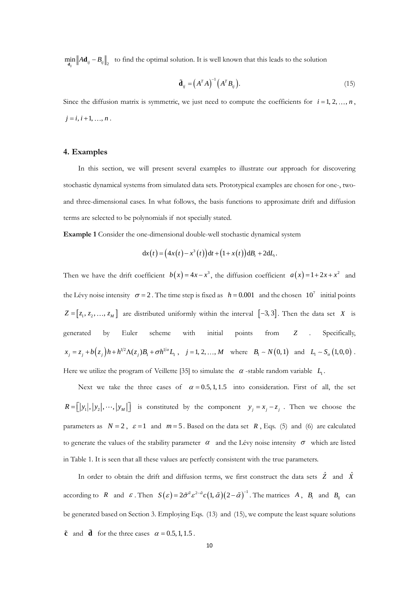$\min_{\mathbf{d}_y} ||A\mathbf{d}_y - B_y||_2$  to find the optimal solution. It is well known that this leads to the solution

$$
\tilde{\mathbf{d}}_{ij} = \left(A^T A\right)^{-1} \left(A^T B_{ij}\right). \tag{15}
$$

Since the diffusion matrix is symmetric, we just need to compute the coefficients for  $i = 1, 2, ..., n$ ,  $j = i, i + 1, \ldots, n$ .

#### **4. Examples**

In this section, we will present several examples to illustrate our approach for discovering stochastic dynamical systems from simulated data sets. Prototypical examples are chosen for one-, twoand three-dimensional cases. In what follows, the basis functions to approximate drift and diffusion terms are selected to be polynomials if not specially stated.

**Example 1** Consider the one-dimensional double-well stochastic dynamical system

$$
dx(t) = (4x(t) - x3(t))dt + (1 + x(t))dBt + 2dLt.
$$

Then we have the drift coefficient  $b(x) = 4x - x^3$ , the diffusion coefficient  $a(x) = 1 + 2x + x^2$  and the Lévy noise intensity  $\sigma = 2$ . The time step is fixed as  $h = 0.001$  and the chosen  $10^7$  initial points  $Z = [z_1, z_2, \dots, z_M]$  are distributed uniformly within the interval [-3, 3]. Then the data set *X* is generated by Euler scheme with initial points from *Z* . Specifically,  $x_j = z_j + b(z_j)h + h^{1/2}\Lambda(z_j)B_1 + \sigma h^{1/\alpha}L_1$ ,  $j = 1, 2, ..., M$  where  $B_1 \sim N(0, 1)$  and  $L_1 \sim S_\alpha(1, 0, 0)$ . Here we utilize the program of Veillette [35] to simulate the  $\alpha$ -stable random variable  $L_1$ .

Next we take the three cases of  $\alpha = 0.5, 1, 1.5$  into consideration. First of all, the set  $R = [y_1, y_2, \dots, y_M]$  is constituted by the component  $y_j = x_j - z_j$ . Then we choose the parameters as  $N = 2$ ,  $\varepsilon = 1$  and  $m = 5$ . Based on the data set R, Eqs. (5) and (6) are calculated to generate the values of the stability parameter  $\alpha$  and the Lévy noise intensity  $\sigma$  which are listed in Table 1. It is seen that all these values are perfectly consistent with the true parameters.

In order to obtain the drift and diffusion terms, we first construct the data sets  $\hat{Z}$  and  $\hat{X}$ according to R and  $\varepsilon$ . Then  $S(\varepsilon) = 2\tilde{\sigma}^{\tilde{\alpha}} \varepsilon^{2-\tilde{\alpha}} c (1, \tilde{\alpha}) (2-\tilde{\alpha})^{-1}$ . The matrices A,  $B_i$  and  $B_{ij}$  can be generated based on Section 3. Employing Eqs. (13) and (15), we compute the least square solutions  $\tilde{c}$  and  $\tilde{d}$  for the three cases  $\alpha = 0.5, 1, 1.5$ .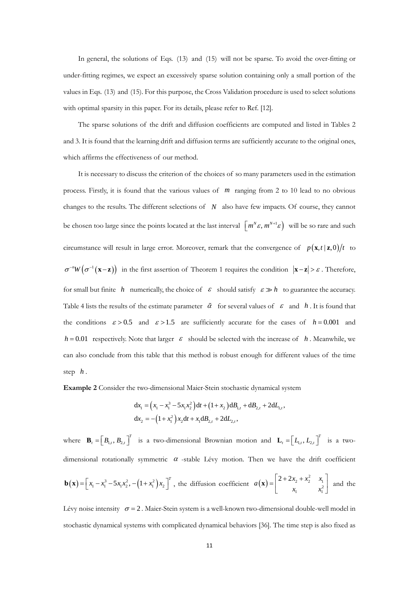In general, the solutions of Eqs. (13) and (15) will not be sparse. To avoid the over-fitting or under-fitting regimes, we expect an excessively sparse solution containing only a small portion of the values in Eqs. (13) and (15). For this purpose, the Cross Validation procedure is used to select solutions with optimal sparsity in this paper. For its details, please refer to Ref. [12].

The sparse solutions of the drift and diffusion coefficients are computed and listed in Tables 2 and 3. It is found that the learning drift and diffusion terms are sufficiently accurate to the original ones, which affirms the effectiveness of our method.

It is necessary to discuss the criterion of the choices of so many parameters used in the estimation process. Firstly, it is found that the various values of *m* ranging from 2 to 10 lead to no obvious changes to the results. The different selections of *N* also have few impacts. Of course, they cannot be chosen too large since the points located at the last interval  $\left[m^{N} \varepsilon, m^{N+1} \varepsilon\right]$  will be so rare and such circumstance will result in large error. Moreover, remark that the convergence of  $p(\mathbf{x},t|\mathbf{z},0)/t$  to  $\sigma^{-n}W(\sigma^{-1}(\mathbf{x}-\mathbf{z}))$  in the first assertion of Theorem 1 requires the condition  $|\mathbf{x}-\mathbf{z}| > \varepsilon$ . Therefore, for small but finite h numerically, the choice of  $\varepsilon$  should satisfy  $\varepsilon \gg h$  to guarantee the accuracy. Table 4 lists the results of the estimate parameter  $\tilde{\alpha}$  for several values of  $\varepsilon$  and h. It is found that the conditions  $\varepsilon > 0.5$  and  $\varepsilon > 1.5$  are sufficiently accurate for the cases of  $h = 0.001$  and  $h = 0.01$  respectively. Note that larger  $\varepsilon$  should be selected with the increase of h. Meanwhile, we can also conclude from this table that this method is robust enough for different values of the time step *h* .

**Example 2** Consider the two-dimensional Maier-Stein stochastic dynamical system

$$
dx_1 = (x_1 - x_1^3 - 5x_1x_2^2)dt + (1 + x_2)dB_{1,t} + dB_{2,t} + 2dL_{1,t},
$$
  
\n
$$
dx_2 = -(1 + x_1^2)x_2dt + x_1dB_{2,t} + 2dL_{2,t},
$$

where  $\mathbf{B}_{t} = \begin{vmatrix} B_{1,t}, B_{2,t} \end{vmatrix}$ *T*  $\mathbf{B}_t = \begin{bmatrix} B_{1,t}, B_{2,t} \end{bmatrix}^t$  is a two-dimensional Brownian motion and  $\mathbf{L}_t = \begin{bmatrix} L_{1,t}, L_{2,t} \end{bmatrix}$ *T*  $\mathbf{L}_t = \left[ L_{1,t}, L_{2,t} \right]$ <sup>t</sup> is a twodimensional rotationally symmetric  $\alpha$  -stable Lévy motion. Then we have the drift coefficient  $\mathbf{b}(\mathbf{x}) = \begin{bmatrix} x_1 - x_1^3 - 5x_1x_2^2, -(1 + x_1^2)x_2 \end{bmatrix}^T$ , the diffusion coefficient  $a(\mathbf{x})$  $\begin{array}{ccc} \n\ddot{x}_2 + x_2^2 & x_1 \\
\vdots & \vdots \\
x_1^2 & x_1^2\n\end{array}$  $a(\mathbf{x}) = \begin{bmatrix} 2 + 2x_2 + x_2^2 & x_1 \\ x_1 & x_2 \end{bmatrix}$  $\begin{bmatrix} 2 + 2x_2 + x_2^2 & x_1 \end{bmatrix}$  $\mathbf{x}$ ) =  $\begin{bmatrix} 2 + 2x_2 + x_2 & x_1 \\ x_1 & x_1^2 \end{bmatrix}$  and the

Lévy noise intensity  $\sigma = 2$ . Maier-Stein system is a well-known two-dimensional double-well model in stochastic dynamical systems with complicated dynamical behaviors [36]. The time step is also fixed as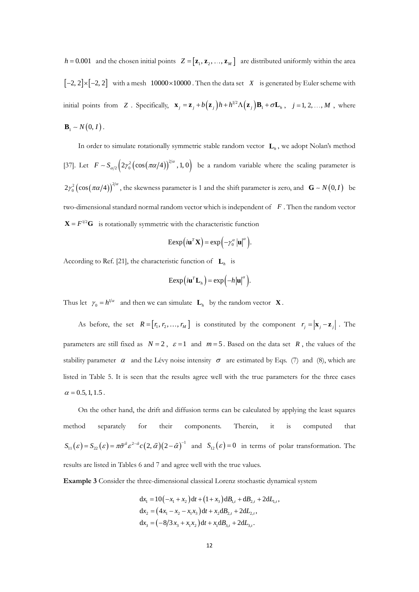$h = 0.001$  and the chosen initial points  $Z = [\mathbf{z}_1, \mathbf{z}_2, ..., \mathbf{z}_M]$  are distributed uniformly within the area  $[-2, 2] \times [-2, 2]$  with a mesh 10000×10000. Then the data set X is generated by Euler scheme with initial points from Z. Specifically,  $\mathbf{x}_j = \mathbf{z}_j + b(\mathbf{z}_j)h + h^{1/2}\Lambda(\mathbf{z}_j)\mathbf{B}_1 + \sigma \mathbf{L}_h$ ,  $j = 1, 2, ..., M$ , where  $$ 

In order to simulate rotationally symmetric stable random vector **L***<sup>h</sup>* , we adopt Nolan's method [37]. Let  $F \sim S_{\alpha/2} \left( 2\gamma_0^2 \left( \cos(\pi\alpha/4) \right)^{2/\alpha}, 1, 0 \right)$  be a random variable where the scaling parameter is  $2\gamma_0^2 \left(\cos(\pi \alpha/4)\right)^{2/\alpha}$ , the skewness parameter is 1 and the shift parameter is zero, and  $\mathbf{G} \sim N(0,I)$  be two-dimensional standard normal random vector which is independent of *F* . Then the random vector  $X = F^{1/2}G$  is rotationally symmetric with the characteristic function

$$
\operatorname{Eexp}\left(i\mathbf{u}^T\mathbf{X}\right)=\exp\left(-\gamma_0^{\alpha}\left|\mathbf{u}\right|^{\alpha}\right).
$$

According to Ref. [21], the characteristic function of  $\mathbf{L}_h$  is

$$
\mathrm{Eexp}\big(i\mathbf{u}^T\mathbf{L}_h\big)=\mathrm{exp}\Big(-h|\mathbf{u}|^{\alpha}\Big).
$$

Thus let  $\gamma_0 = h^{1/\alpha}$  and then we can simulate  $\mathbf{L}_h$  by the random vector **X**.

As before, the set  $R = [r_1, r_2, ..., r_M]$  is constituted by the component  $r_j = |\mathbf{x}_j - \mathbf{z}_j|$ . The parameters are still fixed as  $N = 2$ ,  $\varepsilon = 1$  and  $m = 5$ . Based on the data set R, the values of the stability parameter  $\alpha$  and the Lévy noise intensity  $\sigma$  are estimated by Eqs. (7) and (8), which are listed in Table 5. It is seen that the results agree well with the true parameters for the three cases  $\alpha$  = 0.5, 1, 1.5.

On the other hand, the drift and diffusion terms can be calculated by applying the least squares method separately for their components. Therein, it is computed that  $S_{11}(\varepsilon) = S_{22}(\varepsilon) = \pi \tilde{\sigma}^{\tilde{\alpha}} \varepsilon^{2-\tilde{\alpha}} c(2,\tilde{\alpha})(2-\tilde{\alpha})^{-1}$  and  $S_{12}(\varepsilon) = 0$  in terms of polar transformation. The results are listed in Tables 6 and 7 and agree well with the true values.

**Example 3** Consider the three-dimensional classical Lorenz stochastic dynamical system

$$
dx_1 = 10(-x_1 + x_2) dt + (1 + x_3) dB_{1,t} + dB_{2,t} + 2dL_{1,t},
$$
  
\n
$$
dx_2 = (4x_1 - x_2 - x_1x_3) dt + x_2 dB_{2,t} + 2dL_{2,t},
$$
  
\n
$$
dx_3 = (-8/3x_3 + x_1x_2) dt + x_1 dB_{3,t} + 2dL_{3,t}.
$$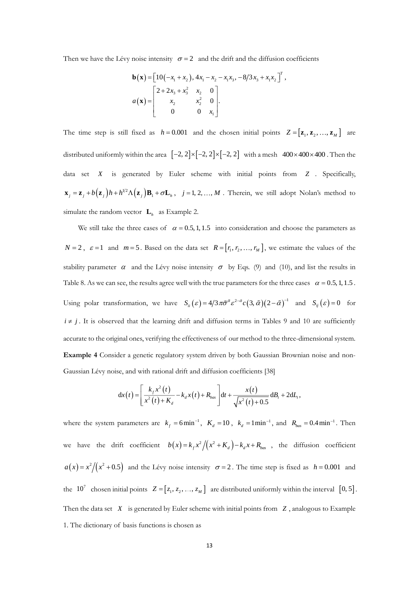Then we have the Lévy noise intensity  $\sigma = 2$  and the drift and the diffusion coefficients

$$
\mathbf{b}(\mathbf{x}) = \begin{bmatrix} 10(-x_1 + x_2), 4x_1 - x_2 - x_1x_3, -8/3x_3 + x_1x_2 \end{bmatrix}^T,
$$
  
\n
$$
a(\mathbf{x}) = \begin{bmatrix} 2 + 2x_3 + x_3^2 & x_2 & 0 \\ x_2 & x_2^2 & 0 \\ 0 & 0 & x_1 \end{bmatrix}.
$$

The time step is still fixed as  $h = 0.001$  and the chosen initial points  $Z = [\mathbf{z}_1, \mathbf{z}_2, ..., \mathbf{z}_M]$  are distributed uniformly within the area  $[-2, 2] \times [-2, 2] \times [-2, 2]$  with a mesh  $400 \times 400 \times 400$ . Then the data set *X* is generated by Euler scheme with initial points from *Z* . Specifically,  $\mathbf{x}_j = \mathbf{z}_j + b(\mathbf{z}_j)h + h^{1/2}\Lambda(\mathbf{z}_j)\mathbf{B}_1 + \sigma \mathbf{L}_h$ ,  $j = 1, 2, ..., M$ . Therein, we still adopt Nolan's method to simulate the random vector  $\mathbf{L}_h$  as Example 2.

We still take the three cases of  $\alpha = 0.5, 1, 1.5$  into consideration and choose the parameters as  $N = 2$ ,  $\varepsilon = 1$  and  $m = 5$ . Based on the data set  $R = [r_1, r_2, ..., r_M]$ , we estimate the values of the stability parameter  $\alpha$  and the Lévy noise intensity  $\sigma$  by Eqs. (9) and (10), and list the results in Table 8. As we can see, the results agree well with the true parameters for the three cases  $\alpha = 0.5, 1, 1.5$ . Using polar transformation, we have  $S_{ii}(\varepsilon) = 4/3 \pi \tilde{\sigma}^{\alpha} \varepsilon^{2-\tilde{\alpha}} c (3, \tilde{\alpha}) (2-\tilde{\alpha})^{-1}$  and  $S_{ij}(\varepsilon) = 0$  for  $i \neq j$ . It is observed that the learning drift and diffusion terms in Tables 9 and 10 are sufficiently accurate to the original ones, verifying the effectiveness of our method to the three-dimensional system. **Example 4** Consider a genetic regulatory system driven by both Gaussian Brownian noise and non-Gaussian Lévy noise, and with rational drift and diffusion coefficients [38]

$$
dx(t) = \left[\frac{k_{f}x^{2}(t)}{x^{2}(t)+K_{d}}-k_{d}x(t)+R_{bas}\right]dt+\frac{x(t)}{\sqrt{x^{2}(t)+0.5}}dB_{t}+2dL_{t},
$$

where the system parameters are  $k_f = 6 \text{min}^{-1}$ ,  $K_d = 10$ ,  $k_d = 1 \text{min}^{-1}$ , and  $R_{bas} = 0.4 \text{min}^{-1}$ . Then we have the drift coefficient  $b(x) = k_f x^2/(x^2 + K_d) - k_d x + R_{bas}$ , the diffusion coefficient  $a(x) = x^2/(x^2 + 0.5)$  and the Lévy noise intensity  $\sigma = 2$ . The time step is fixed as  $h = 0.001$  and the 10<sup>7</sup> chosen initial points  $Z = [z_1, z_2, ..., z_M]$  are distributed uniformly within the interval [0, 5]. Then the data set  $X$  is generated by Euler scheme with initial points from  $Z$ , analogous to Example 1. The dictionary of basis functions is chosen as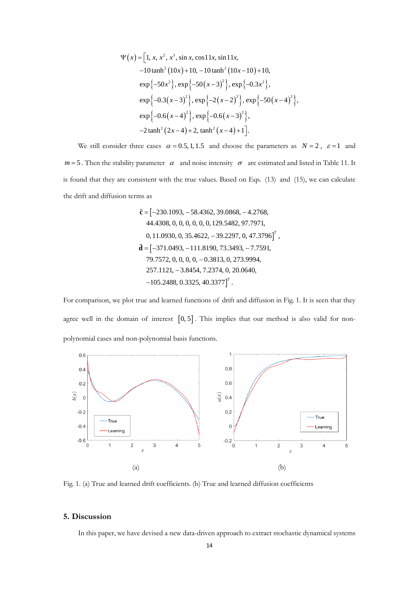$$
\Psi(x) = [1, x, x^2, x^3, \sin x, \cos 11x, \sin 11x, -10 \tanh^2(10x) + 10, -10 \tanh^2(10x - 10) + 10,\nexp{-50x^2}, exp{-50(x-3)^2}, exp{-0.3x^2},\nexp{-0.3(x-3)^2}, exp{-2(x-2)^2}, exp{-50(x-4)^2},\nexp{-0.6(x-4)^2}, exp{-0.6(x-3)^2},\n-2 \tanh^2(2x-4) + 2, tanh^2(x-4) + 1].
$$

We still consider three cases  $\alpha = 0.5, 1, 1.5$  and choose the parameters as  $N = 2$ ,  $\varepsilon = 1$  and  $m=5$ . Then the stability parameter  $\alpha$  and noise intensity  $\sigma$  are estimated and listed in Table 11. It is found that they are consistent with the true values. Based on Eqs. (13) and (15), we can calculate the drift and diffusion terms as

$$
\tilde{\mathbf{c}} = [-230.1093, -58.4362, 39.0868, -4.2768, 44.4308, 0, 0, 0, 0, 0, 0, 129.5482, 97.7971, 0, 11.0930, 0, 35.4622, -39.2297, 0, 47.3796]^T, \n\tilde{\mathbf{d}} = [-371.0493, -111.8190, 73.3493, -7.7591, 79.7572, 0, 0, 0, 0, -0.3813, 0, 273.9994, 257.1121, -3.8454, 7.2374, 0, 20.0640, -105.2488, 0.3325, 40.3377]^T.
$$

For comparison, we plot true and learned functions of drift and diffusion in Fig. 1. It is seen that they agree well in the domain of interest  $[0, 5]$ . This implies that our method is also valid for nonpolynomial cases and non-polynomial basis functions.



Fig. 1. (a) True and learned drift coefficients. (b) True and learned diffusion coefficients

#### **5. Discussion**

In this paper, we have devised a new data-driven approach to extract stochastic dynamical systems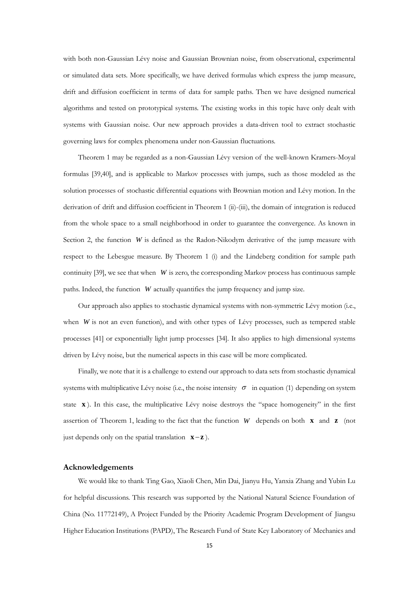with both non-Gaussian Lévy noise and Gaussian Brownian noise, from observational, experimental or simulated data sets. More specifically, we have derived formulas which express the jump measure, drift and diffusion coefficient in terms of data for sample paths. Then we have designed numerical algorithms and tested on prototypical systems. The existing works in this topic have only dealt with systems with Gaussian noise. Our new approach provides a data-driven tool to extract stochastic governing laws for complex phenomena under non-Gaussian fluctuations.

Theorem 1 may be regarded as a non-Gaussian Lévy version of the well-known Kramers-Moyal formulas [39,40], and is applicable to Markov processes with jumps, such as those modeled as the solution processes of stochastic differential equations with Brownian motion and Lévy motion. In the derivation of drift and diffusion coefficient in Theorem 1 (ii)-(iii), the domain of integration is reduced from the whole space to a small neighborhood in order to guarantee the convergence. As known in Section 2, the function  $W$  is defined as the Radon-Nikodym derivative of the jump measure with respect to the Lebesgue measure. By Theorem 1 (i) and the Lindeberg condition for sample path continuity [39], we see that when *W* is zero, the corresponding Markov process has continuous sample paths. Indeed, the function *W* actually quantifies the jump frequency and jump size.

Our approach also applies to stochastic dynamical systems with non-symmetric Lévy motion (i.e., when *W* is not an even function), and with other types of Lévy processes, such as tempered stable processes [41] or exponentially light jump processes [34]. It also applies to high dimensional systems driven by Lévy noise, but the numerical aspects in this case will be more complicated.

Finally, we note that it is a challenge to extend our approach to data sets from stochastic dynamical systems with multiplicative Lévy noise (i.e., the noise intensity  $\sigma$  in equation (1) depending on system state **x**). In this case, the multiplicative Lévy noise destroys the "space homogeneity" in the first assertion of Theorem 1, leading to the fact that the function W depends on both **x** and **z** (not just depends only on the spatial translation **x <sup>z</sup>** <sup>−</sup> ).

#### **Acknowledgements**

We would like to thank Ting Gao, Xiaoli Chen, Min Dai, Jianyu Hu, Yanxia Zhang and Yubin Lu for helpful discussions. This research was supported by the National Natural Science Foundation of China (No. 11772149), A Project Funded by the Priority Academic Program Development of Jiangsu Higher Education Institutions (PAPD), The Research Fund of State Key Laboratory of Mechanics and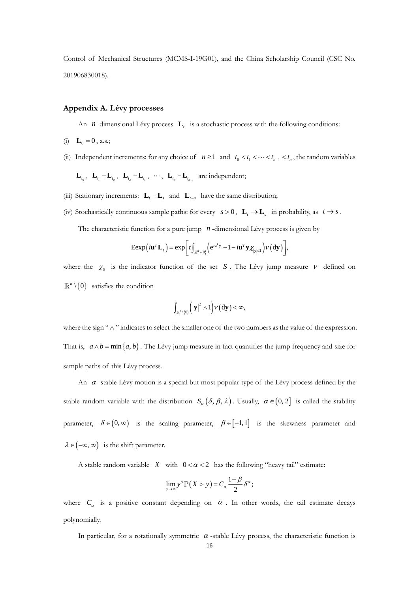Control of Mechanical Structures (MCMS-I-19G01), and the China Scholarship Council (CSC No. 201906830018).

#### **Appendix A. Lévy processes**

An *n*-dimensional Lévy process **L**<sub>t</sub> is a stochastic process with the following conditions:

- (i)  $\mathbf{L}_0 = 0$ , a.s.;
- (ii) Independent increments: for any choice of  $n \ge 1$  and  $t_0 < t_1 < \cdots < t_{n-1} < t_n$ , the random variables

 ${\bf L}_{t_0}$ ,  ${\bf L}_{t_1} - {\bf L}_{t_0}$ ,  ${\bf L}_{t_2} - {\bf L}_{t_1}$ ,  $\cdots$ ,  ${\bf L}_{t_n} - {\bf L}_{t_{n-1}}$  are independent;

- (iii) Stationary increments:  $\mathbf{L}_{t} \mathbf{L}_{s}$  and  $\mathbf{L}_{t-s}$  have the same distribution;
- (iv) Stochastically continuous sample paths: for every  $s > 0$ ,  $\mathbf{L}_t \to \mathbf{L}_s$  in probability, as  $t \to s$ .

The characteristic function for a pure jump *n* -dimensional Lévy process is given by

$$
\operatorname{Eexp}\left(i\mathbf{u}^T\mathbf{L}_t\right) = \exp\bigg[t\int_{\mathbb{R}^n\setminus\{0\}}\bigg(e^{i\mathbf{u}^T\mathbf{y}} - 1 - i\mathbf{u}^T\mathbf{y}\chi_{|\mathbf{y}|\leq 1}\bigg)\nu\big(\mathrm{d}\mathbf{y}\big)\bigg],
$$

where the  $\chi_s$  is the indicator function of the set S. The Lévy jump measure  $V$  defined on  $\setlength{\unitlength}{0} \setlength{\unitlength}{0} \setlength{\unitlength}{0}$  satisfies the condition

$$
\int_{\mathbb{R}^n\setminus\{0\}}\left(\left|\mathbf{y}\right|^2\wedge 1\right)\nu\left(\mathrm{d}\mathbf{y}\right)<\infty,
$$

where the sign "  $\wedge$  " indicates to select the smaller one of the two numbers as the value of the expression. That is,  $a \wedge b = \min\{a, b\}$ . The Lévy jump measure in fact quantifies the jump frequency and size for sample paths of this Lévy process.

An  $\alpha$  -stable Lévy motion is a special but most popular type of the Lévy process defined by the stable random variable with the distribution  $S_{\alpha}(\delta, \beta, \lambda)$ . Usually,  $\alpha \in (0, 2]$  is called the stability parameter,  $\delta \in (0, \infty)$  is the scaling parameter,  $\beta \in [-1, 1]$  is the skewness parameter and  $\lambda \in (-\infty, \infty)$  is the shift parameter.

A stable random variable  $X$  with  $0 < \alpha < 2$  has the following "heavy tail" estimate:

$$
\lim_{y\to\infty} y^{\alpha} \mathbb{P}\left(X>y\right) = C_{\alpha} \frac{1+\beta}{2} \delta^{\alpha};
$$

where  $C_{\alpha}$  is a positive constant depending on  $\alpha$ . In other words, the tail estimate decays polynomially.

In particular, for a rotationally symmetric  $\alpha$ -stable Lévy process, the characteristic function is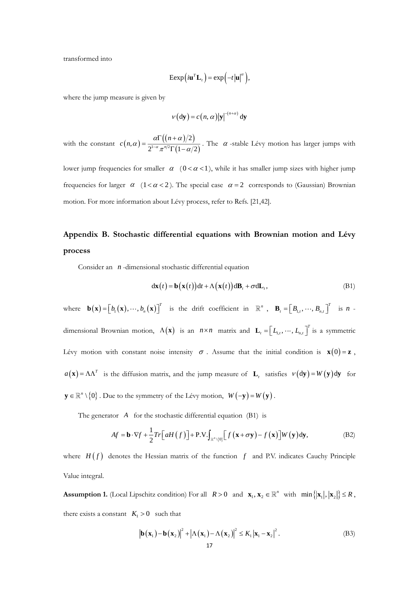transformed into

$$
\operatorname{Eexp}\left(i\mathbf{u}^{T}\mathbf{L}_{t}\right)=\exp\left(-t\left|\mathbf{u}\right|^{\alpha}\right),\,
$$

where the jump measure is given by

$$
v(\mathrm{d}\mathbf{y}) = c(n, \alpha) |\mathbf{y}|^{-(n+\alpha)} \mathrm{d}\mathbf{y}
$$

with the constant  $c(n, \alpha) = \frac{\alpha \Gamma((n+\alpha)/2)}{2 \Gamma(n+\alpha)/2 \Gamma(n+\alpha)}$  $\int_0^{1-\alpha} \pi^{n/2} \Gamma\left(1-\alpha/2\right)$ 2  $(1-\alpha/2)^{1-\alpha} \pi^{n/2} \Gamma(1-\alpha/2)$ *n*  $c(n, \alpha) = \frac{1}{\alpha^{1-\alpha}}$  $\alpha$   $11n + \alpha$  $\alpha) = \frac{1}{2^{1-\alpha} \pi^{n/2} \Gamma(1-\alpha)}$  $=\frac{\alpha\Gamma((n+\alpha)/2)}{2^{1-\alpha}\pi^{n/2}\Gamma(1-\alpha/2)}$ . The  $\alpha$ -stable Lévy motion has larger jumps with

lower jump frequencies for smaller  $\alpha$  (0 <  $\alpha$  < 1), while it has smaller jump sizes with higher jump frequencies for larger  $\alpha$  (1< $\alpha$ <2). The special case  $\alpha$  = 2 corresponds to (Gaussian) Brownian motion. For more information about Lévy process, refer to Refs. [21,42].

# **Appendix B. Stochastic differential equations with Brownian motion and Lévy process**

Consider an *<sup>n</sup>* -dimensional stochastic differential equation

$$
d\mathbf{x}(t) = \mathbf{b}(\mathbf{x}(t))dt + \Lambda(\mathbf{x}(t))d\mathbf{B}_t + \sigma d\mathbf{L}_t, \tag{B1}
$$

where  $\mathbf{b}(\mathbf{x}) = [b_1(\mathbf{x}), \cdots, b_n(\mathbf{x})]^T$  $\mathbf{b}(\mathbf{x}) = [b_1(\mathbf{x}), \cdots, b_n(\mathbf{x})]^T$  is the drift coefficient in  $\mathbb{R}^n$ ,  $\mathbf{B}_t = [B_{1,t}, \cdots, B_{n,t}]$ *T*  $\mathbf{B}_{t} = \left[ B_{1,t}, \cdots, B_{n,t} \right]^{t}$  is *n* dimensional Brownian motion,  $\Lambda(\mathbf{x})$  is an  $n \times n$  matrix and  $\mathbf{L}_t = \begin{bmatrix} L_{1,t}, \dots, L_{n,t} \end{bmatrix}$ *T*  $\mathbf{L}_t = \left[ L_{1,t}, \cdots, L_{n,t} \right]^t$  is a symmetric Lévy motion with constant noise intensity  $\sigma$ . Assume that the initial condition is  $\mathbf{x}(0) = \mathbf{z}$ ,  $a(\mathbf{x}) = \Lambda \Lambda^T$  is the diffusion matrix, and the jump measure of  $\mathbf{L}_t$  satisfies  $v(\mathrm{d}\mathbf{y}) = W(\mathbf{y}) \mathrm{d}\mathbf{y}$  for  $\mathbf{y} \in \mathbb{R}^n \setminus \{0\}$  . Due to the symmetry of the Lévy motion,  $W(-\mathbf{y}) = W(\mathbf{y})$ .

The generator *A* for the stochastic differential equation (B1) is  
\n
$$
Af = \mathbf{b} \cdot \nabla f + \frac{1}{2} Tr \left[ aH(f) \right] + P.V. \int_{\mathbb{R}^n \setminus \{0\}} \left[ f(\mathbf{x} + \sigma \mathbf{y}) - f(\mathbf{x}) \right] W(\mathbf{y}) d\mathbf{y},
$$
\n(B2)

where  $H(f)$  denotes the Hessian matrix of the function  $f$  and P.V. indicates Cauchy Principle Value integral.

**Assumption 1.** (Local Lipschitz condition) For all  $R > 0$  and  $\mathbf{x}_1, \mathbf{x}_2 \in \mathbb{R}^n$  with  $\min\{|\mathbf{x}_1|, |\mathbf{x}_2|\} \le R$ , there exists a constant  $K_1 > 0$  such that

$$
\left|\mathbf{b}\left(\mathbf{x}_{1}\right)-\mathbf{b}\left(\mathbf{x}_{2}\right)\right|^{2}+\left|\Lambda\left(\mathbf{x}_{1}\right)-\Lambda\left(\mathbf{x}_{2}\right)\right|^{2} \leq K_{1}\left|\mathbf{x}_{1}-\mathbf{x}_{2}\right|^{2}.
$$
 (B3)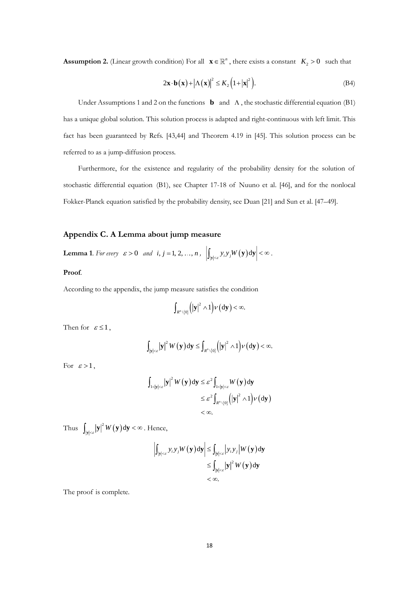**Assumption 2.** (Linear growth condition) For all  $\mathbf{x} \in \mathbb{R}^n$ , there exists a constant  $K_2 > 0$  such that

$$
2\mathbf{x} \cdot \mathbf{b}(\mathbf{x}) + |\Lambda(\mathbf{x})|^2 \le K_2 (1 + |\mathbf{x}|^2).
$$
 (B4)

Under Assumptions 1 and 2 on the functions **b** and  $\Lambda$ , the stochastic differential equation (B1) has a unique global solution. This solution process is adapted and right-continuous with left limit. This fact has been guaranteed by Refs. [43,44] and Theorem 4.19 in [45]. This solution process can be referred to as a jump-diffusion process.

Furthermore, for the existence and regularity of the probability density for the solution of stochastic differential equation (B1), see Chapter 17-18 of Nuuno et al. [46], and for the nonlocal Fokker-Planck equation satisfied by the probability density, see Duan [21] and Sun et al. [47–49].

## **Appendix C. A Lemma about jump measure**

**Lemma** 1. For every  $\varepsilon > 0$  and  $i, j = 1, 2, ..., n$ ,  $\left| \int_{|\mathbf{y}| < \varepsilon} y_i y_j W(\mathbf{y}) d\mathbf{y} \right| < \infty$ .

# **Proof**.

According to the appendix, the jump measure satisfies the condition

$$
\int_{R^n\setminus\{0\}}\left(|\mathbf{y}|^2\wedge 1\right)\nu\left(\mathrm{d}\mathbf{y}\right)<\infty.
$$

Then for  $\varepsilon \leq 1$ ,

$$
\int_{|\mathbf{y}|<\varepsilon} |\mathbf{y}|^2 W(\mathbf{y}) \, \mathrm{d}\mathbf{y} \le \int_{R^n \setminus \{0\}} (|\mathbf{y}|^2 \wedge 1) \nu(\mathrm{d}\mathbf{y}) < \infty.
$$

For  $\varepsilon > 1$ ,

$$
\int_{1<|{\bf y}|<\varepsilon} |{\bf y}|^2 W({\bf y}) d{\bf y} \leq \varepsilon^2 \int_{1<|{\bf y}|<\varepsilon} W({\bf y}) d{\bf y} \leq \varepsilon^2 \int_{R^n \setminus \{0\}} (|{\bf y}|^2 \wedge 1) \nu(d{\bf y}) \leq \infty.
$$

Thus  $\int_{|\mathbf{y}| < \varepsilon} |\mathbf{y}|^2 W(\mathbf{y}) d\mathbf{y} < \infty$ . Hence,

$$
\left| \int_{|y| < \varepsilon} y_i y_j W(\mathbf{y}) \, \mathrm{d}\mathbf{y} \right| \leq \int_{|y| < \varepsilon} |y_i y_j| W(\mathbf{y}) \, \mathrm{d}\mathbf{y}
$$
  
\$\leq\$ 
$$
\int_{|y| < \varepsilon} |\mathbf{y}|^2 W(\mathbf{y}) \, \mathrm{d}\mathbf{y}
$$
  
\$< \infty\$.

The proof is complete.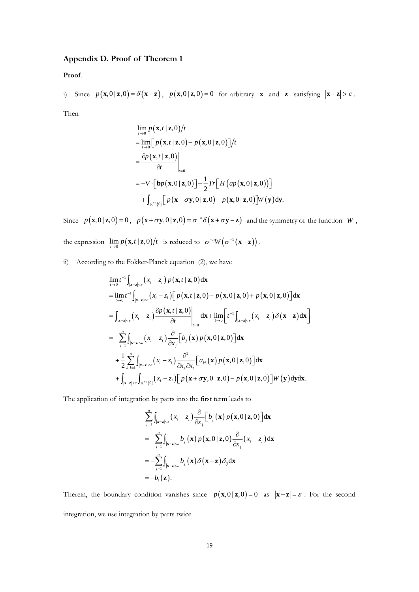# **Appendix D. Proof of Theorem 1**

**Proof**.

i) Since 
$$
p(\mathbf{x},0|\mathbf{z},0) = \delta(\mathbf{x}-\mathbf{z}), p(\mathbf{x},0|\mathbf{z},0) = 0
$$
 for arbitrary **x** and **z** satisfying  $|\mathbf{x}-\mathbf{z}| > \varepsilon$ .

Then

$$
\lim_{t\to 0} p(\mathbf{x}, t \mid \mathbf{z}, 0) / t
$$
\n
$$
= \lim_{t\to 0} \Big[ p(\mathbf{x}, t \mid \mathbf{z}, 0) - p(\mathbf{x}, 0 \mid \mathbf{z}, 0) \Big] / t
$$
\n
$$
= \frac{\partial p(\mathbf{x}, t \mid \mathbf{z}, 0)}{\partial t} \Big|_{t=0}
$$
\n
$$
= -\nabla \cdot \Big[ \mathbf{b} p(\mathbf{x}, 0 \mid \mathbf{z}, 0) \Big] + \frac{1}{2} Tr \Big[ H \big( ap(\mathbf{x}, 0 \mid \mathbf{z}, 0) \big) \Big]
$$
\n
$$
+ \int_{\mathbb{R}^n \setminus \{0\}} \Big[ p(\mathbf{x} + \sigma \mathbf{y}, 0 \mid \mathbf{z}, 0) - p(\mathbf{x}, 0 \mid \mathbf{z}, 0) \Big] W(\mathbf{y}) \, \mathrm{d}\mathbf{y}.
$$

Since  $p(\mathbf{x},0|\mathbf{z},0) = 0$ ,  $p(\mathbf{x} + \sigma \mathbf{y},0|\mathbf{z},0) = \sigma^{-n}\delta(\mathbf{x} + \sigma \mathbf{y} - \mathbf{z})$  and the symmetry of the function  $W$ , the expression  $\lim_{t\to 0} p(\mathbf{x}, t \mid \mathbf{z}, 0) / t$  is reduced to  $\sigma^{-n} W(\sigma^{-1}(\mathbf{x}-\mathbf{z}))$ .

ii) According to the Fokker-Planck equation (2), we have

$$
\lim_{t\to 0} t^{-1} \int_{|\mathbf{x}-\mathbf{z}|<\varepsilon} (x_i - z_i) p(\mathbf{x}, t | \mathbf{z}, 0) d\mathbf{x}
$$
\n  
\n
$$
= \lim_{t\to 0} t^{-1} \int_{|\mathbf{x}-\mathbf{z}|<\varepsilon} (x_i - z_i) [p(\mathbf{x}, t | \mathbf{z}, 0) - p(\mathbf{x}, 0 | \mathbf{z}, 0) + p(\mathbf{x}, 0 | \mathbf{z}, 0)] d\mathbf{x}
$$
\n  
\n
$$
= \int_{|\mathbf{x}-\mathbf{z}|<\varepsilon} (x_i - z_i) \frac{\partial p(\mathbf{x}, t | \mathbf{z}, 0)}{\partial t} \Big|_{t=0} d\mathbf{x} + \lim_{t\to 0} \Big[ t^{-1} \int_{|\mathbf{x}-\mathbf{z}|<\varepsilon} (x_i - z_i) \delta(\mathbf{x}-\mathbf{z}) d\mathbf{x} \Big]
$$
\n  
\n
$$
= -\sum_{j=1}^{n} \int_{|\mathbf{x}-\mathbf{z}|<\varepsilon} (x_i - z_i) \frac{\partial}{\partial x_j} [b_j(\mathbf{x}) p(\mathbf{x}, 0 | \mathbf{z}, 0)] d\mathbf{x}
$$
\n  
\n
$$
+ \frac{1}{2} \sum_{k,l=1}^{n} \int_{|\mathbf{x}-\mathbf{z}|<\varepsilon} (x_i - z_i) \frac{\partial^2}{\partial x_k \partial x_l} [a_k(\mathbf{x}) p(\mathbf{x}, 0 | \mathbf{z}, 0)] d\mathbf{x}
$$
\n  
\n
$$
+ \int_{|\mathbf{x}-\mathbf{z}|<\varepsilon} \int_{\mathbb{R}^n \setminus \{0\}} (x_i - z_i) [p(\mathbf{x} + \sigma \mathbf{y}, 0 | \mathbf{z}, 0) - p(\mathbf{x}, 0 | \mathbf{z}, 0)] W(\mathbf{y}) d\mathbf{y} d\mathbf{x}.
$$

The application of integration by parts into the first term leads to

$$
\sum_{j=1}^{n} \int_{|\mathbf{x}-\mathbf{z}| < \varepsilon} (x_i - z_i) \frac{\partial}{\partial x_j} \Big[ b_j(\mathbf{x}) p(\mathbf{x}, 0 | \mathbf{z}, 0) \Big] d\mathbf{x}
$$
  
= 
$$
- \sum_{j=1}^{n} \int_{|\mathbf{x}-\mathbf{z}| < \varepsilon} b_j(\mathbf{x}) p(\mathbf{x}, 0 | \mathbf{z}, 0) \frac{\partial}{\partial x_j} (x_i - z_i) d\mathbf{x}
$$
  
= 
$$
- \sum_{j=1}^{n} \int_{|\mathbf{x}-\mathbf{z}| < \varepsilon} b_j(\mathbf{x}) \delta(\mathbf{x}-\mathbf{z}) \delta_{ij} d\mathbf{x}
$$
  
= 
$$
-b_i(\mathbf{z}).
$$

Therein, the boundary condition vanishes since  $p(\mathbf{x},0|\mathbf{z},0) = 0$  as  $|\mathbf{x} - \mathbf{z}| = \varepsilon$ . For the second integration, we use integration by parts twice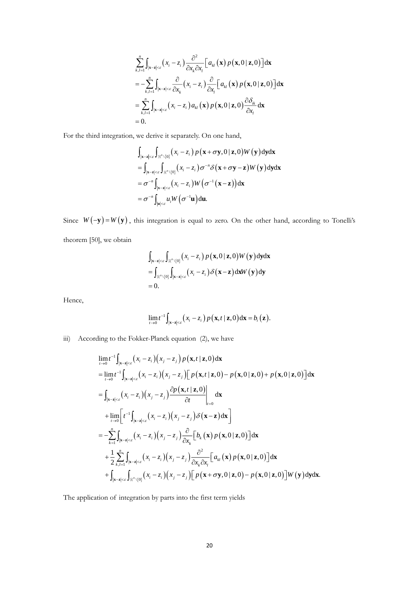$$
\sum_{k,l=1}^{n} \int_{|\mathbf{x}-\mathbf{z}|<\varepsilon} (x_i - z_i) \frac{\partial^2}{\partial x_k \partial x_l} \Big[ a_{kl}(\mathbf{x}) p(\mathbf{x}, 0 | \mathbf{z}, 0) \Big] d\mathbf{x}
$$
\n
$$
= - \sum_{k,l=1}^{n} \int_{|\mathbf{x}-\mathbf{z}|<\varepsilon} \frac{\partial}{\partial x_k} (x_i - z_i) \frac{\partial}{\partial x_l} \Big[ a_{kl}(\mathbf{x}) p(\mathbf{x}, 0 | \mathbf{z}, 0) \Big] d\mathbf{x}
$$
\n
$$
= \sum_{k,l=1}^{n} \int_{|\mathbf{x}-\mathbf{z}|<\varepsilon} (x_i - z_i) a_{kl}(\mathbf{x}) p(\mathbf{x}, 0 | \mathbf{z}, 0) \frac{\partial \delta_{ik}}{\partial x_l} d\mathbf{x}
$$
\n
$$
= 0.
$$

For the third integration, we derive it separately. On one hand,

$$
\int_{|\mathbf{x}-\mathbf{z}|<\varepsilon} \int_{\mathbb{R}^n \setminus \{0\}} (x_i - z_i) p(\mathbf{x} + \sigma \mathbf{y}, 0 | \mathbf{z}, 0) W(\mathbf{y}) \, d\mathbf{y} d\mathbf{x}
$$
\n=
$$
\int_{|\mathbf{x}-\mathbf{z}|<\varepsilon} \int_{\mathbb{R}^n \setminus \{0\}} (x_i - z_i) \sigma^{-n} \delta(\mathbf{x} + \sigma \mathbf{y} - \mathbf{z}) W(\mathbf{y}) \, d\mathbf{y} d\mathbf{x}
$$
\n=
$$
\sigma^{-n} \int_{|\mathbf{x}-\mathbf{z}|<\varepsilon} (x_i - z_i) W(\sigma^{-1}(\mathbf{x} - \mathbf{z})) d\mathbf{x}
$$
\n=
$$
\sigma^{-n} \int_{|\mathbf{u}|<\varepsilon} u_i W(\sigma^{-1} \mathbf{u}) d\mathbf{u}.
$$

Since  $W(-y) = W(y)$ , this integration is equal to zero. On the other hand, according to Tonelli's theorem [50], we obtain

$$
\int_{|\mathbf{x}-\mathbf{z}|<\varepsilon} \int_{\mathbb{R}^n \setminus \{0\}} (x_i - z_i) p(\mathbf{x}, 0 | \mathbf{z}, 0) W(\mathbf{y}) \, \mathrm{d}\mathbf{y} \mathrm{d}\mathbf{x} \n= \int_{\mathbb{R}^n \setminus \{0\}} \int_{|\mathbf{x}-\mathbf{z}|<\varepsilon} (x_i - z_i) \delta(\mathbf{x}-\mathbf{z}) \, \mathrm{d}\mathbf{x} W(\mathbf{y}) \, \mathrm{d}\mathbf{y} \n= 0.
$$

Hence,

$$
\lim_{t\to 0}t^{-1}\int_{|\mathbf{x}-\mathbf{z}|<\varepsilon}\left(x_i-z_i\right)p\left(\mathbf{x},t\mid \mathbf{z},0\right)\mathrm{d}\mathbf{x}=b_i\left(\mathbf{z}\right).
$$

iii) According to the Fokker-Planck equation (2), we have

$$
\sum_{k,l=1}^{n} \int_{|x-x| \leq x} (x_i - z_i) \frac{\partial}{\partial x_k \partial x_l} [a_{ik}(\mathbf{x}) p(\mathbf{x}, 0 | \mathbf{z}, 0)] d\mathbf{x}
$$
\n
$$
= -\sum_{k,l=1}^{n} \int_{|x-x| \leq x} \frac{\partial}{\partial x_k} (x_i - z_i) \frac{\partial}{\partial x_k} [a_{ki}(\mathbf{x}) p(\mathbf{x}, 0 | \mathbf{z}, 0)] d\mathbf{x}
$$
\n
$$
= \sum_{k,l=1}^{n} \int_{|x-x| \leq x} (x_i - z_i) a_{ik}(\mathbf{x}) p(\mathbf{x}, 0 | \mathbf{z}, 0) \frac{\partial \delta_k}{\partial x_l} d\mathbf{x}
$$
\nd integration, we derive it separately. On one hand,  
\n
$$
\int_{|\mathbf{x}-\mathbf{z}| \leq x} [a_{i} \cdot y_0)(x_i - z_i) p(\mathbf{x} + \sigma \mathbf{y}, 0 | \mathbf{z}, 0) W(\mathbf{y}) d\mathbf{y} d\mathbf{x}
$$
\n
$$
= \int_{|\mathbf{x}-\mathbf{z}| \leq x} [a_{i} \cdot y_0)(x_i - z_i) p(\mathbf{x} + \sigma \mathbf{y} - \mathbf{z}) W(\mathbf{y}) d\mathbf{y} d\mathbf{x}
$$
\n
$$
= \sigma^{-n} \int_{|\mathbf{x}| \leq x} (x_i - z_i) W(\sigma^{-1}(\mathbf{x} - \mathbf{z})) d\mathbf{x}
$$
\n
$$
= \sigma^{-n} \int_{|\mathbf{x}| \leq x} [a_{i} \cdot y_0 - \mathbf{z}) W(\sigma^{-1}(\mathbf{x} - \mathbf{z})) d\mathbf{x}
$$
\n
$$
= \sigma^{-n} \int_{|\mathbf{x}| \leq x} [a_{i} \cdot y_0 - \mathbf{z}) W(\sigma^{-1}(\mathbf{x} - \mathbf{z})) d\mathbf{x}
$$
\n
$$
= \int_{|\mathbf{x}| \leq x} [a_{i} \cdot y_0 - \mathbf{z}) Q(\mathbf{x}, 0) \mathbf{z} d\mathbf{x}
$$
\n
$$
= \int_{|\mathbf{x}| \leq x} [a_{i} \cdot y_0 - \mathbf{z}) Q(\mathbf{x}, 0)
$$

The application of integration by parts into the first term yields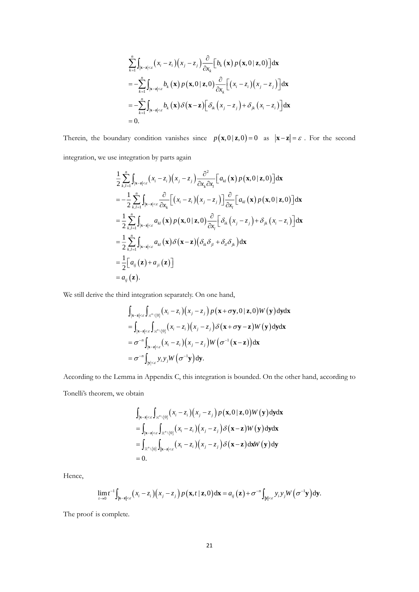$$
\sum_{k=1}^{n} \int_{|\mathbf{x}-\mathbf{z}| < \varepsilon} (x_i - z_i) (x_j - z_j) \frac{\partial}{\partial x_k} [b_k(\mathbf{x}) p(\mathbf{x}, 0 | \mathbf{z}, 0)] d\mathbf{x}
$$
  
\n
$$
= -\sum_{k=1}^{n} \int_{|\mathbf{x}-\mathbf{z}| < \varepsilon} b_k(\mathbf{x}) p(\mathbf{x}, 0 | \mathbf{z}, 0) \frac{\partial}{\partial x_k} [(x_i - z_i) (x_j - z_j)] d\mathbf{x}
$$
  
\n
$$
= -\sum_{k=1}^{n} \int_{|\mathbf{x}-\mathbf{z}| < \varepsilon} b_k(\mathbf{x}) \delta(\mathbf{x}-\mathbf{z}) [\delta_{ik}(x_j - z_j) + \delta_{jk}(x_i - z_i)] d\mathbf{x}
$$
  
\n
$$
= 0.
$$

Therein, the boundary condition vanishes since  $p(\mathbf{x},0|\mathbf{z},0) = 0$  as  $|\mathbf{x} - \mathbf{z}| = \varepsilon$ . For the second

integration, we use integration by parts again

$$
\sum_{k=1}^{n} \int_{|x-x|<\epsilon} x_i - z_i (x_i - z_i) \frac{z_i}{\delta x_k} b_k(x) p(x, 0 | z, 0) | dx
$$
\n
$$
= -\sum_{k=1}^{n} \int_{|x-x|<\epsilon} b_k(x) p(x, 0 | z, 0) \frac{\partial}{\partial x_k} [(x_i - z_i)(x_i - z_i)] dx
$$
\n
$$
= -\sum_{k=1}^{n} \int_{|x-x|<\epsilon} b_k(x) \delta(x-z) [\delta_k(x_i - z_i) + \delta_k(x_i - z_i)] dx
$$
\n
$$
= 0.
$$
\nndary condition vanishes since  $p(x, 0 | z, 0) = 0$  as  $|x-z| = \epsilon$  integration by parts again\n
$$
\frac{1}{2} \sum_{k,l=1}^{n} \int_{|x-x|<\epsilon} (x_i - z_i)(x_j - z_j) \frac{\partial^2}{\partial x_k \partial x_l} [a_k(x) p(x, 0 | z, 0)] dx
$$
\n
$$
= -\frac{1}{2} \sum_{k,l=1}^{n} \int_{|x-x|<\epsilon} \frac{\partial}{\partial x_k} [(x_i - z_i)(x_j - z_j)] \frac{\partial}{\partial x_k} [a_k(x) p(x, 0 | z, 0)] dx
$$
\n
$$
= -\frac{1}{2} \sum_{k,l=1}^{n} \int_{|x-x|<\epsilon} a_k(x) p(x, 0 | z, 0) \frac{\partial}{\partial x_k} [\delta_k(x_j - z_j) + \delta_k(x_j - z_j)] dx
$$
\n
$$
= \frac{1}{2} \sum_{k,l=1}^{n} \int_{|x-x|<\epsilon} a_k(x) \delta(x-z) (\delta_k \delta_k + \delta_k \delta_k) dx
$$
\n
$$
= \frac{1}{2} [a_k(z) + a_{j\epsilon}(z)]
$$
\n
$$
= a_k(z).
$$
\nthird integration separately. On one hand,\n
$$
\int_{|x-x|<\epsilon} \int_{|x-x|<\epsilon} (x_i - z_i)(x_j - z_j) p(x + \sigma y, 0 | z, 0) W(y) dy dx
$$
\n
$$
= \int_{|x-x|<\epsilon} \int_{|x-x|<\epsilon} (x_i - z_i)(x_j - z_j) p(x + \sigma y, 0 | z, 0) W(y) dy
$$

We still derive the third integration separately. On one hand,

$$
\int_{|\mathbf{x}-\mathbf{z}|<\varepsilon} \int_{\mathbb{R}^n \setminus \{0\}} (x_i - z_i)(x_j - z_j) p(\mathbf{x} + \sigma \mathbf{y}, 0 | \mathbf{z}, 0) W(\mathbf{y}) \, d\mathbf{y} d\mathbf{x}
$$
\n
$$
= \int_{|\mathbf{x}-\mathbf{z}|<\varepsilon} \int_{\mathbb{R}^n \setminus \{0\}} (x_i - z_i)(x_j - z_j) \delta(\mathbf{x} + \sigma \mathbf{y} - \mathbf{z}) W(\mathbf{y}) \, d\mathbf{y} d\mathbf{x}
$$
\n
$$
= \sigma^{-n} \int_{|\mathbf{x}-\mathbf{z}|<\varepsilon} (x_i - z_i)(x_j - z_j) W(\sigma^{-1}(\mathbf{x} - \mathbf{z})) d\mathbf{x}
$$
\n
$$
= \sigma^{-n} \int_{|\mathbf{y}|<\varepsilon} y_i y_j W(\sigma^{-1} \mathbf{y}) d\mathbf{y}.
$$

According to the Lemma in Appendix C, this integration is bounded. On the other hand, according to Tonelli's theorem, we obtain

$$
\int_{|\mathbf{x}-\mathbf{z}|<\varepsilon} \int_{\mathbb{R}^n \setminus \{0\}} (x_i - z_i)(x_j - z_j) p(\mathbf{x}, 0 | \mathbf{z}, 0) W(\mathbf{y}) \, d\mathbf{y} d\mathbf{x}
$$
\n=
$$
\int_{|\mathbf{x}-\mathbf{z}|<\varepsilon} \int_{\mathbb{R}^n \setminus \{0\}} (x_i - z_i)(x_j - z_j) \delta(\mathbf{x} - \mathbf{z}) W(\mathbf{y}) \, d\mathbf{y} d\mathbf{x}
$$
\n=
$$
\int_{\mathbb{R}^n \setminus \{0\}} \int_{|\mathbf{x}-\mathbf{z}|<\varepsilon} (x_i - z_i)(x_j - z_j) \delta(\mathbf{x} - \mathbf{z}) \, d\mathbf{x} W(\mathbf{y}) \, d\mathbf{y}
$$
\n= 0.

Hence,

$$
= 0.
$$
\n
$$
\lim_{t \to 0} t^{-1} \int_{|\mathbf{x} - \mathbf{z}| < \varepsilon} (x_i - z_i) (x_j - z_j) p(\mathbf{x}, t | \mathbf{z}, 0) d\mathbf{x} = a_{ij}(\mathbf{z}) + \sigma^{-n} \int_{|\mathbf{y}| < \varepsilon} y_i y_j W(\sigma^{-1} \mathbf{y}) d\mathbf{y}.
$$

The proof is complete.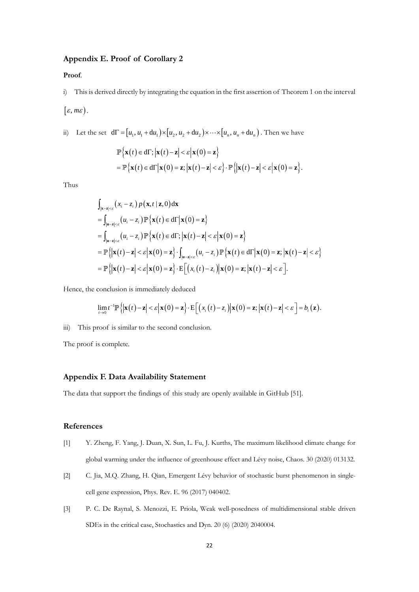## **Appendix E. Proof of Corollary 2**

#### **Proof**.

i) This is derived directly by integrating the equation in the first assertion of Theorem 1 on the interval  $[\varepsilon, m\varepsilon]$ .

ii) Let the set  $d\Gamma = [u_1, u_1 + du_1) \times [u_2, u_2 + du_2] \times \cdots \times [u_n, u_n + du_n)$ . Then we have  $\left\{ \mathbf{x}(t) \in d\Gamma; \left| \mathbf{x}(t) - \mathbf{z} \right| < \varepsilon \left| \mathbf{x}(0) = \mathbf{z} \right\} \right\}$  $=\mathbb{P}\left\{\mathbf{x}(t)\in d\Gamma\big|\mathbf{x}(0)=\mathbf{z};\big|\mathbf{x}(t)-\mathbf{z}\big|<\varepsilon\right\}\cdot\mathbb{P}\left\{\big|\mathbf{x}(t)-\mathbf{z}\big|<\varepsilon\big|\mathbf{x}(0)=\mathbf{z}\right\}.$ 

Thus

$$
\int_{|\mathbf{x}-\mathbf{z}|<\varepsilon} (x_i - z_i) p(\mathbf{x}, t | \mathbf{z}, 0) d\mathbf{x}
$$
\n=
$$
\int_{|\mathbf{u}-\mathbf{z}|<\varepsilon} (u_i - z_i) \mathbb{P} {\mathbf{x}(t) \in d\Gamma | \mathbf{x}(0) = \mathbf{z}}
$$
\n=
$$
\int_{|\mathbf{u}-\mathbf{z}|<\varepsilon} (u_i - z_i) \mathbb{P} {\mathbf{x}(t) \in d\Gamma} ; |\mathbf{x}(t) - \mathbf{z}| < \varepsilon |\mathbf{x}(0) = \mathbf{z}|
$$
\n=
$$
\mathbb{P} {\mathbf{x}(t) - \mathbf{z} | < \varepsilon |\mathbf{x}(0) = \mathbf{z}} \cdot \int_{|\mathbf{u}-\mathbf{z}|<\varepsilon} (u_i - z_i) \mathbb{P} {\mathbf{x}(t) \in d\Gamma |\mathbf{x}(0) = \mathbf{z}; |\mathbf{x}(t) - \mathbf{z}| < \varepsilon}
$$
\n=
$$
\mathbb{P} {\mathbf{x}(t) - \mathbf{z} | < \varepsilon |\mathbf{x}(0) = \mathbf{z}} \cdot \mathbb{E} [ (x_i(t) - z_i) | \mathbf{x}(0) = \mathbf{z}; |\mathbf{x}(t) - \mathbf{z}| < \varepsilon ].
$$

Hence, the conclusion is immediately deduced  
\n
$$
\lim_{t\to 0} t^{-1} \mathbb{P}\left\{ \left| \mathbf{x}(t) - \mathbf{z} \right| < \varepsilon \left| \mathbf{x}(0) = \mathbf{z} \right\} \cdot \mathbb{E}\left[ \left( x_i(t) - z_i \right) \middle| \mathbf{x}(0) = \mathbf{z}; \left| \mathbf{x}(t) - \mathbf{z} \right| < \varepsilon \right] = b_i(\mathbf{z}).
$$

iii) This proof is similar to the second conclusion.

The proof is complete.

#### **Appendix F. Data Availability Statement**

The data that support the findings of this study are openly available in GitHub [51].

### **References**

- [1] Y. Zheng, F. Yang, J. Duan, X. Sun, L. Fu, J. Kurths, The maximum likelihood climate change for global warming under the influence of greenhouse effect and Lévy noise, Chaos. 30 (2020) 013132.
- [2] C. Jia, M.Q. Zhang, H. Qian, Emergent Lévy behavior of stochastic burst phenomenon in singlecell gene expression, Phys. Rev. E. 96 (2017) 040402.
- [3] P. C. De Raynal, S. Menozzi, E. Priola, Weak well-posedness of multidimensional stable driven SDEs in the critical case, Stochastics and Dyn. 20 (6) (2020) 2040004.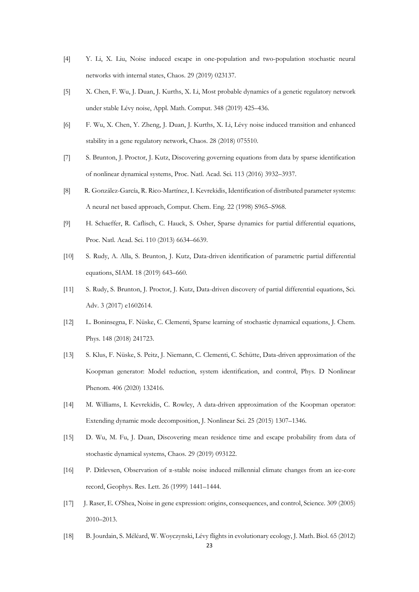- [4] Y. Li, X. Liu, Noise induced escape in one-population and two-population stochastic neural networks with internal states, Chaos. 29 (2019) 023137.
- [5] X. Chen, F. Wu, J. Duan, J. Kurths, X. Li, Most probable dynamics of a genetic regulatory network under stable Lévy noise, Appl. Math. Comput. 348 (2019) 425–436.
- [6] F. Wu, X. Chen, Y. Zheng, J. Duan, J. Kurths, X. Li, Lévy noise induced transition and enhanced stability in a gene regulatory network, Chaos. 28 (2018) 075510.
- [7] S. Brunton, J. Proctor, J. Kutz, Discovering governing equations from data by sparse identification of nonlinear dynamical systems, Proc. Natl. Acad. Sci. 113 (2016) 3932–3937.
- [8] R. González-García, R. Rico-Martínez, I. Kevrekidis, Identification of distributed parameter systems: A neural net based approach, Comput. Chem. Eng. 22 (1998) S965–S968.
- [9] H. Schaeffer, R. Caflisch, C. Hauck, S. Osher, Sparse dynamics for partial differential equations, Proc. Natl. Acad. Sci. 110 (2013) 6634–6639.
- [10] S. Rudy, A. Alla, S. Brunton, J. Kutz, Data-driven identification of parametric partial differential equations, SIAM. 18 (2019) 643–660.
- [11] S. Rudy, S. Brunton, J. Proctor, J. Kutz, Data-driven discovery of partial differential equations, Sci. Adv. 3 (2017) e1602614.
- [12] L. Boninsegna, F. Nüske, C. Clementi, Sparse learning of stochastic dynamical equations, J. Chem. Phys. 148 (2018) 241723.
- [13] S. Klus, F. Nüske, S. Peitz, J. Niemann, C. Clementi, C. Schütte, Data-driven approximation of the Koopman generator: Model reduction, system identification, and control, Phys. D Nonlinear Phenom. 406 (2020) 132416.
- [14] M. Williams, I. Kevrekidis, C. Rowley, A data-driven approximation of the Koopman operator: Extending dynamic mode decomposition, J. Nonlinear Sci. 25 (2015) 1307–1346.
- [15] D. Wu, M. Fu, J. Duan, Discovering mean residence time and escape probability from data of stochastic dynamical systems, Chaos. 29 (2019) 093122.
- [16] P. Ditlevsen, Observation of α-stable noise induced millennial climate changes from an ice-core record, Geophys. Res. Lett. 26 (1999) 1441–1444.
- [17] J. Raser, E. O'Shea, Noise in gene expression: origins, consequences, and control, Science. 309 (2005) 2010–2013.
- [18] B. Jourdain, S. Méléard, W. Woyczynski, Lévy flights in evolutionary ecology, J. Math. Biol. 65 (2012)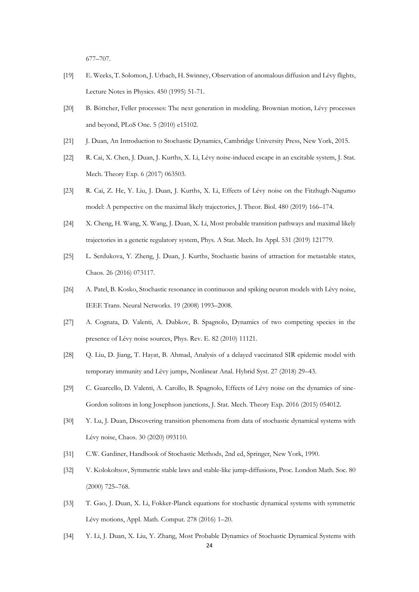677–707.

- [19] E. Weeks, T. Solomon, J. Urbach, H. Swinney, Observation of anomalous diffusion and Lévy flights, Lecture Notes in Physics. 450 (1995) 51-71.
- [20] B. Böttcher, Feller processes: The next generation in modeling. Brownian motion, Lévy processes and beyond, PLoS One. 5 (2010) e15102.
- [21] J. Duan, An Introduction to Stochastic Dynamics, Cambridge University Press, New York, 2015.
- [22] R. Cai, X. Chen, J. Duan, J. Kurths, X. Li, Lévy noise-induced escape in an excitable system, J. Stat. Mech. Theory Exp. 6 (2017) 063503.
- [23] R. Cai, Z. He, Y. Liu, J. Duan, J. Kurths, X. Li, Effects of Lévy noise on the Fitzhugh-Nagumo model: A perspective on the maximal likely trajectories, J. Theor. Biol. 480 (2019) 166–174.
- [24] X. Cheng, H. Wang, X. Wang, J. Duan, X. Li, Most probable transition pathways and maximal likely trajectories in a genetic regulatory system, Phys. A Stat. Mech. Its Appl. 531 (2019) 121779.
- [25] L. Serdukova, Y. Zheng, J. Duan, J. Kurths, Stochastic basins of attraction for metastable states, Chaos. 26 (2016) 073117.
- [26] A. Patel, B. Kosko, Stochastic resonance in continuous and spiking neuron models with Lévy noise, IEEE Trans. Neural Networks. 19 (2008) 1993–2008.
- [27] A. Cognata, D. Valenti, A. Dubkov, B. Spagnolo, Dynamics of two competing species in the presence of Lévy noise sources, Phys. Rev. E. 82 (2010) 11121.
- [28] Q. Liu, D. Jiang, T. Hayat, B. Ahmad, Analysis of a delayed vaccinated SIR epidemic model with temporary immunity and Lévy jumps, Nonlinear Anal. Hybrid Syst. 27 (2018) 29–43.
- [29] C. Guarcello, D. Valenti, A. Carollo, B. Spagnolo, Effects of Lévy noise on the dynamics of sine-Gordon solitons in long Josephson junctions, J. Stat. Mech. Theory Exp. 2016 (2015) 054012.
- [30] Y. Lu, J. Duan, Discovering transition phenomena from data of stochastic dynamical systems with Lévy noise, Chaos. 30 (2020) 093110.
- [31] C.W. Gardiner, Handbook of Stochastic Methods, 2nd ed, Springer, New York, 1990.
- [32] V. Kolokoltsov, Symmetric stable laws and stable-like jump-diffusions, Proc. London Math. Soc. 80 (2000) 725–768.
- [33] T. Gao, J. Duan, X. Li, Fokker-Planck equations for stochastic dynamical systems with symmetric Lévy motions, Appl. Math. Comput. 278 (2016) 1–20.
- [34] Y. Li, J. Duan, X. Liu, Y. Zhang, Most Probable Dynamics of Stochastic Dynamical Systems with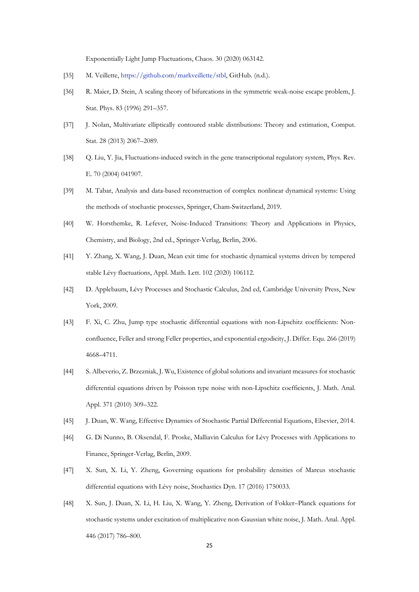Exponentially Light Jump Fluctuations, Chaos. 30 (2020) 063142.

- [35] M. Veillette[, https://github.com/markveillette/stbl,](https://github.com/markveillette/stbl) GitHub. (n.d.).
- [36] R. Maier, D. Stein, A scaling theory of bifurcations in the symmetric weak-noise escape problem, J. Stat. Phys. 83 (1996) 291–357.
- [37] J. Nolan, Multivariate elliptically contoured stable distributions: Theory and estimation, Comput. Stat. 28 (2013) 2067–2089.
- [38] Q. Liu, Y. Jia, Fluctuations-induced switch in the gene transcriptional regulatory system, Phys. Rev. E. 70 (2004) 041907.
- [39] M. Tabar, Analysis and data-based reconstruction of complex nonlinear dynamical systems: Using the methods of stochastic processes, Springer, Cham-Switzerland, 2019.
- [40] W. Horsthemke, R. Lefever, Noise-Induced Transitions: Theory and Applications in Physics, Chemistry, and Biology, 2nd ed., Springer-Verlag, Berlin, 2006.
- [41] Y. Zhang, X. Wang, J. Duan, Mean exit time for stochastic dynamical systems driven by tempered stable Lévy fluctuations, Appl. Math. Lett. 102 (2020) 106112.
- [42] D. Applebaum, Lévy Processes and Stochastic Calculus, 2nd ed, Cambridge University Press, New York, 2009.
- [43] F. Xi, C. Zhu, Jump type stochastic differential equations with non-Lipschitz coefficients: Nonconfluence, Feller and strong Feller properties, and exponential ergodicity, J. Differ. Equ. 266 (2019) 4668–4711.
- [44] S. Albeverio, Z. Brzezniak, J. Wu, Existence of global solutions and invariant measures for stochastic differential equations driven by Poisson type noise with non-Lipschitz coefficients, J. Math. Anal. Appl. 371 (2010) 309–322.
- [45] J. Duan, W. Wang, Effective Dynamics of Stochastic Partial Differential Equations, Elsevier, 2014.
- [46] G. Di Nunno, B. Oksendal, F. Proske, Malliavin Calculus for Lévy Processes with Applications to Finance, Springer-Verlag, Berlin, 2009.
- [47] X. Sun, X. Li, Y. Zheng, Governing equations for probability densities of Marcus stochastic differential equations with Lévy noise, Stochastics Dyn. 17 (2016) 1750033.
- [48] X. Sun, J. Duan, X. Li, H. Liu, X. Wang, Y. Zheng, Derivation of Fokker–Planck equations for stochastic systems under excitation of multiplicative non-Gaussian white noise, J. Math. Anal. Appl. 446 (2017) 786–800.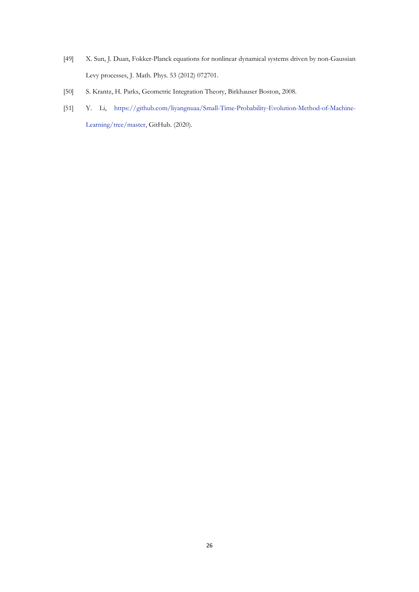- [49] X. Sun, J. Duan, Fokker-Planck equations for nonlinear dynamical systems driven by non-Gaussian Levy processes, J. Math. Phys. 53 (2012) 072701.
- [50] S. Krantz, H. Parks, Geometric Integration Theory, Birkhauser Boston, 2008.
- [51] Y. Li, [https://github.com/liyangnuaa/Small-Time-Probability-Evolution-Method-of-Machine-](https://github.com/liyangnuaa/Small-Time-Probability-Evolution-Method-of-Machine-Learning/tree/master)[Learning/tree/master,](https://github.com/liyangnuaa/Small-Time-Probability-Evolution-Method-of-Machine-Learning/tree/master) GitHub. (2020).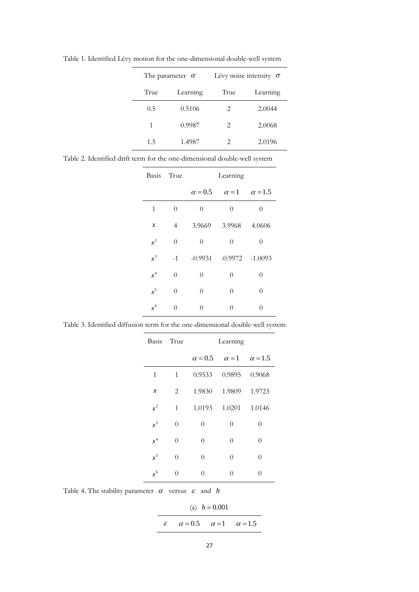| The parameter $\alpha$ |          |                             | Lévy noise intensity $\sigma$ |
|------------------------|----------|-----------------------------|-------------------------------|
| True                   | Learning | True                        | Learning                      |
| 0.5                    | 0.5106   | 2                           | 2.0044                        |
| 1                      | 0.9987   | $\mathcal{D}_{\mathcal{L}}$ | 2.0068                        |
| 1.5                    | 1.4987   | $\mathcal{D}_{\mathcal{A}}$ | 2.0196                        |

Table 1. Identified Lévy motion for the one-dimensional double-well system

Table 2. Identified drift term for the one-dimensional double-well system

| Basis True    |                | Learning       |                   |                |
|---------------|----------------|----------------|-------------------|----------------|
|               |                | $\alpha = 0.5$ | $\alpha = 1$      | $\alpha = 1.5$ |
| 1             | $\theta$       | $\theta$       | $\overline{0}$    | $\theta$       |
| $\mathcal{X}$ | $\overline{4}$ | 3.9669         | 3.9968            | 4.0606         |
| $x^2$         | $\theta$       | $\theta$       | $\theta$          | 0              |
| $x^3$         | $-1$           | $-0.9931$      | $-0.9972 -1.0093$ |                |
| $x^4$         | $\theta$       | $\theta$       | $\overline{0}$    | $\theta$       |
| $x^5$         | $\theta$       | $\theta$       | $\theta$          | 0              |
| $x^6$         | $\Omega$       | $\theta$       | $\theta$          | 0              |

Table 3. Identified diffusion term for the one-dimensional double-well system

| Basis True                 |                | Learning       |                |                |
|----------------------------|----------------|----------------|----------------|----------------|
|                            |                | $\alpha = 0.5$ | $\alpha = 1$   | $\alpha = 1.5$ |
| 1                          | 1              | 0.9533         | 0.9895         | 0.9068         |
| $\boldsymbol{\mathcal{X}}$ | $\overline{2}$ | 1.9830         | 1.9809         | 1.9723         |
| $x^2$                      | 1              | 1.0193         | 1.0201         | 1.0146         |
| $x^3$                      | $\theta$       | $\theta$       | $\overline{0}$ | $\theta$       |
| $x^4$                      | $\theta$       | $\theta$       | $\theta$       | $\theta$       |
| $x^5$                      | 0              | $\theta$       | $\theta$       | $\theta$       |
| $x^6$                      | 0              | $\theta$       | 0              | 0              |

Table 4. The stability parameter  $\alpha$  versus  $\varepsilon$  and  $h$ 

(a)  $h = 0.001$  $\varepsilon$   $\alpha = 0.5$   $\alpha = 1$   $\alpha = 1.5$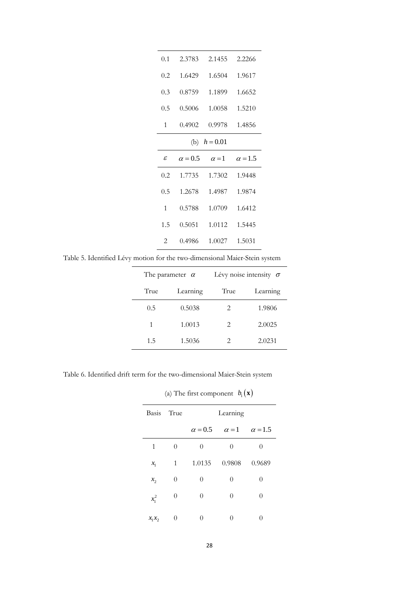| 0.1          | 2.3783         | 2.1455       | 2.2266         |
|--------------|----------------|--------------|----------------|
| 0.2          | 1.6429         | 1.6504       | 1.9617         |
| 0.3          | 0.8759         | 1.1899       | 1.6652         |
| 0.5          | 0.5006         | 1.0058       | 1.5210         |
| 1            | 0.4902         | 0.9978       | 1.4856         |
|              | (b)            | $h = 0.01$   |                |
|              |                |              |                |
| ε            | $\alpha = 0.5$ | $\alpha = 1$ | $\alpha = 1.5$ |
| 0.2          | 1.7735         | 1.7302       | 1.9448         |
| 0.5          | 1.2678         | 1.4987       | 1.9874         |
| $\mathbf{1}$ | 0.5788         | 1.0709       | 1.6412         |
| 1.5          | 0.5051         | 1.0112       | 1.5445         |

Table 5. Identified Lévy motion for the two-dimensional Maier-Stein system

| The parameter $\alpha$ |          |                        | Lévy noise intensity $\sigma$ |
|------------------------|----------|------------------------|-------------------------------|
| True                   | Learning | True                   | Learning                      |
| 0.5                    | 0.5038   | 2.                     | 1.9806                        |
| 1                      | 1.0013   | $\mathfrak{D}_{\cdot}$ | 2.0025                        |
| 1.5                    | 1.5036   | 2                      | 2.0231                        |

Table 6. Identified drift term for the two-dimensional Maier-Stein system

|            | $\sqrt{2}$       | л.<br>$1 \cup I$ |                  |                |
|------------|------------------|------------------|------------------|----------------|
| Basis True |                  |                  | Learning         |                |
|            |                  | $\alpha = 0.5$   | $\alpha = 1$     | $\alpha = 1.5$ |
| 1          | $\overline{0}$   | $\theta$         | $\theta$         | 0              |
| $x_{1}$    | 1                | 1.0135           | 0.9808           | 0.9689         |
| $x_{2}$    | $\boldsymbol{0}$ | $\theta$         | $\boldsymbol{0}$ | $\overline{0}$ |
| $x_1^2$    | $\boldsymbol{0}$ | $\theta$         | $\boldsymbol{0}$ | $\theta$       |
| $x_1x_2$   | 0                | $\theta$         | $\overline{0}$   | 0              |

(a) The first component  $b_1(\mathbf{x})$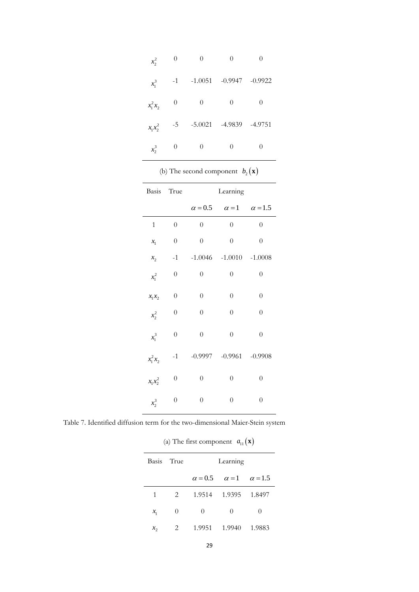| $x_2^2$    | 0              | 0                  | 0        | 0         |
|------------|----------------|--------------------|----------|-----------|
| $x_1^3$    | $-1$           | $-1.0051 - 0.9947$ |          | $-0.9922$ |
| $x_1^2x_2$ | $\theta$       | $\theta$           | $\theta$ | $\theta$  |
| $x_1x_2^2$ | $-5$           | $-5.0021$          | -4.9839  | -4.9751   |
| $x_2^3$    | $\overline{0}$ | $\Omega$           | $\Omega$ | $\Omega$  |

| (b) The second component $b_2(\mathbf{x})$ |  |  |
|--------------------------------------------|--|--|
|--------------------------------------------|--|--|

| Basis       | True             |                  | Learning                                   |                  |
|-------------|------------------|------------------|--------------------------------------------|------------------|
|             |                  |                  | $\alpha = 0.5$ $\alpha = 1$ $\alpha = 1.5$ |                  |
| $\,1\,$     | $\boldsymbol{0}$ | $\boldsymbol{0}$ | $\overline{0}$                             | $\boldsymbol{0}$ |
| $x_{1}$     | $\boldsymbol{0}$ | $\overline{0}$   | $\overline{0}$                             | $\overline{0}$   |
| $x_{2}$     | $-1$             |                  | $-1.0046$ $-1.0010$ $-1.0008$              |                  |
| $x_1^2$     | $\boldsymbol{0}$ | $\boldsymbol{0}$ | $\overline{0}$                             | $\boldsymbol{0}$ |
| $x_1x_2$    | $\overline{0}$   | $\overline{0}$   | $\overline{0}$                             | $\boldsymbol{0}$ |
| $x_2^2$     | $\boldsymbol{0}$ | $\overline{0}$   | $\overline{0}$                             | $\overline{0}$   |
| $x_1^3$     | $\boldsymbol{0}$ | $\overline{0}$   | $\overline{0}$                             | $\overline{0}$   |
| $x_1^2 x_2$ | $-1$             |                  | $-0.9997 -0.9961$                          | $-0.9908$        |
| $x_1x_2^2$  | $\boldsymbol{0}$ | $\boldsymbol{0}$ | $\boldsymbol{0}$                           | $\boldsymbol{0}$ |
| $x_2^3$     | $\boldsymbol{0}$ | $\boldsymbol{0}$ | $\overline{0}$                             | $\overline{0}$   |

Table 7. Identified diffusion term for the two-dimensional Maier-Stein system

| (a) The first component $a_{11}(\mathbf{x})$ |  |  |  |
|----------------------------------------------|--|--|--|
|----------------------------------------------|--|--|--|

| Basis True |             | Learning |                                            |          |
|------------|-------------|----------|--------------------------------------------|----------|
|            |             |          | $\alpha = 0.5$ $\alpha = 1$ $\alpha = 1.5$ |          |
| 1          | $2^{\circ}$ |          | 1.9514 1.9395 1.8497                       |          |
| $x_{1}$    | $\Omega$    | 0        | $\Omega$                                   | $\Omega$ |
| $x_{2}$    | 2           | 1.9951   | - 1.9940                                   | 1.9883   |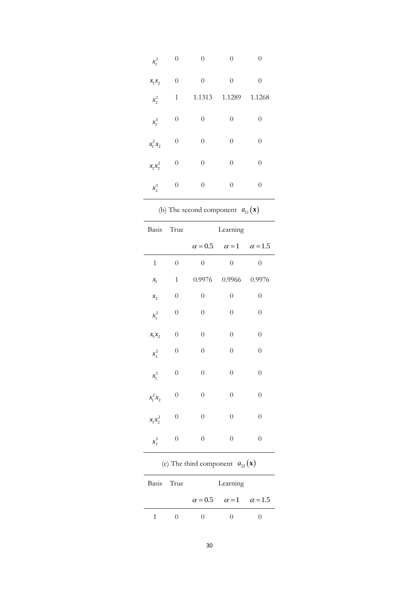| $x_1^2$                | $\boldsymbol{0}$ | $\boldsymbol{0}$                              | $\boldsymbol{0}$ | $\boldsymbol{0}$ |
|------------------------|------------------|-----------------------------------------------|------------------|------------------|
| $x_1x_2$               | 0                | $\overline{0}$                                | $\overline{0}$   | $\overline{0}$   |
| $x_2^2$                | $\mathbf{1}$     | 1.1313                                        | 1.1289           | 1.1268           |
| $x_1^3$                | $\overline{0}$   | $\overline{0}$                                | $\overline{0}$   | $\boldsymbol{0}$ |
| $x_1^2 x_2$            | $\boldsymbol{0}$ | $\boldsymbol{0}$                              | $\boldsymbol{0}$ | $\boldsymbol{0}$ |
| $x_1x_2^2$             | $\boldsymbol{0}$ | $\overline{0}$                                | $\overline{0}$   | $\overline{0}$   |
| $x_2^3$                | $\boldsymbol{0}$ | $\boldsymbol{0}$                              | $\boldsymbol{0}$ | $\boldsymbol{0}$ |
|                        |                  | (b) The second component $a_{12}(\mathbf{x})$ |                  |                  |
| Basis True             |                  |                                               | Learning         |                  |
|                        |                  | $\alpha = 0.5$                                | $\alpha = 1$     | $\alpha = 1.5$   |
| $\mathbf{1}$           | $\overline{0}$   | $\overline{0}$                                | $\overline{0}$   | $\overline{0}$   |
| $x_{1}$                | $\mathbf{1}$     | 0.9976                                        | 0.9966           | 0.9976           |
| $x_{2}$                | $\boldsymbol{0}$ | $\boldsymbol{0}$                              | $\boldsymbol{0}$ | $\boldsymbol{0}$ |
| $x_1^2$                | $\boldsymbol{0}$ | $\boldsymbol{0}$                              | $\boldsymbol{0}$ | $\boldsymbol{0}$ |
| $x_1x_2$               | $\boldsymbol{0}$ | $\overline{0}$                                | $\overline{0}$   | 0                |
| $x_2^2$                | $\boldsymbol{0}$ | $\boldsymbol{0}$                              | $\boldsymbol{0}$ | $\boldsymbol{0}$ |
| $x_1^3$                | $\overline{0}$   | $\overline{0}$                                | $\overline{0}$   | $\overline{0}$   |
| $x_1^2 x_2$            | $\overline{0}$   | $\overline{0}$                                | $\overline{0}$   | $\overline{0}$   |
|                        |                  |                                               |                  |                  |
| $x_1 x_2^2$<br>$x_2^3$ | $\overline{0}$   | $\overline{0}$                                | $\overline{0}$   | $\overline{0}$   |

(c) The third component  $a_{22}(\mathbf{x})$ 

| Basis True |             | Learning                                   |  |  |
|------------|-------------|--------------------------------------------|--|--|
|            |             | $\alpha = 0.5$ $\alpha = 1$ $\alpha = 1.5$ |  |  |
|            | $^{\prime}$ |                                            |  |  |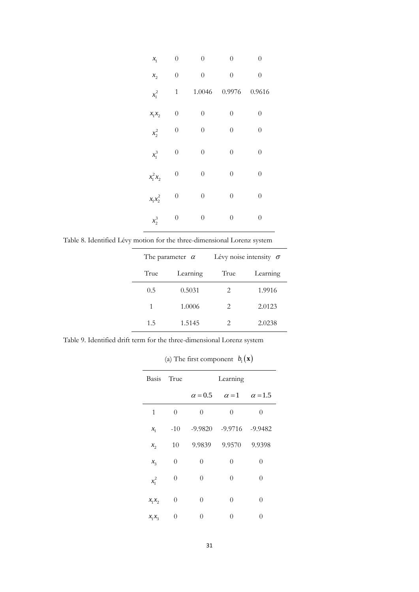| $x_{1}$     | $\overline{0}$   | $\overline{0}$   | $\overline{0}$   | $\overline{0}$   |
|-------------|------------------|------------------|------------------|------------------|
| $x_{2}$     | $\overline{0}$   | $\boldsymbol{0}$ | $\overline{0}$   | $\overline{0}$   |
| $x_1^2$     | $\mathbf{1}$     | 1.0046           | 0.9976           | 0.9616           |
| $x_1x_2$    | $\overline{0}$   | $\overline{0}$   | $\overline{0}$   | $\boldsymbol{0}$ |
| $x_2^2$     | $\boldsymbol{0}$ | $\boldsymbol{0}$ | $\boldsymbol{0}$ | $\boldsymbol{0}$ |
| $x_1^3$     | $\boldsymbol{0}$ | $\boldsymbol{0}$ | $\overline{0}$   | $\boldsymbol{0}$ |
| $x_1^2 x_2$ | $\boldsymbol{0}$ | $\boldsymbol{0}$ | $\boldsymbol{0}$ | $\boldsymbol{0}$ |
| $x_1x_2^2$  | $\overline{0}$   | $\overline{0}$   | $\overline{0}$   | $\overline{0}$   |
| $x_2^3$     | $\boldsymbol{0}$ | $\boldsymbol{0}$ | $\overline{0}$   | $\boldsymbol{0}$ |

Table 8. Identified Lévy motion for the three-dimensional Lorenz system

|      | The parameter $\alpha$ |                               | Lévy noise intensity $\sigma$ |
|------|------------------------|-------------------------------|-------------------------------|
| True | Learning               |                               | Learning                      |
| 0.5  | 0.5031                 | $\mathfrak{D}_{\cdot}$        | 1.9916                        |
| 1    | 1.0006                 | $\mathfrak{D}_{\mathfrak{p}}$ | 2.0123                        |
| 1.5  | 1.5145                 | 2                             | 2.0238                        |

Table 9. Identified drift term for the three-dimensional Lorenz system

(a) The first component  $b_1(\mathbf{x})$ 

| Basis True |                | Learning       |           |                             |
|------------|----------------|----------------|-----------|-----------------------------|
|            |                | $\alpha = 0.5$ |           | $\alpha = 1$ $\alpha = 1.5$ |
| 1          | $\theta$       | $\theta$       | $\theta$  | $\overline{0}$              |
| $x_{1}$    | $-10$          | $-9.9820$      | $-9.9716$ | $-9.9482$                   |
| $x_{2}$    | 10             | 9.9839         | 9.9570    | 9.9398                      |
| $x_{3}$    | $\theta$       | $\overline{0}$ | $\theta$  | $\overline{0}$              |
| $x_1^2$    | $\theta$       | $\theta$       | $\theta$  | $\overline{0}$              |
| $x_1x_2$   | $\overline{0}$ | $\theta$       | $\theta$  | $\overline{0}$              |
| $x_1x_3$   | 0              | 0              | 0         | 0                           |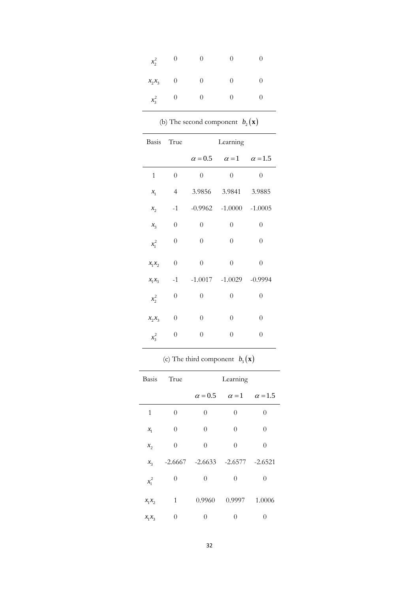| $x_2^2$   |                          |   | $^{(1)}$         |   |
|-----------|--------------------------|---|------------------|---|
| $x_2x_3$  | $\overline{\phantom{0}}$ | 0 | $\theta$         | 0 |
| $x_3^2$ 0 |                          | O | $\left( \right)$ |   |

| (b) The second component $b_2(\mathbf{x})$ |  |
|--------------------------------------------|--|
|--------------------------------------------|--|

| Basis           | True             | Learning         |                                            |                  |
|-----------------|------------------|------------------|--------------------------------------------|------------------|
|                 |                  |                  | $\alpha = 0.5$ $\alpha = 1$ $\alpha = 1.5$ |                  |
| $\mathbf{1}$    | $\overline{0}$   | $\overline{0}$   | $\boldsymbol{0}$                           | $\overline{0}$   |
| $x_{1}$         | $\overline{4}$   | 3.9856           | 3.9841                                     | 3.9885           |
| $x_{2}$         | $-1$             |                  | $-0.9962$ $-1.0000$ $-1.0005$              |                  |
| $\mathcal{X}_3$ | $\boldsymbol{0}$ | $\overline{0}$   | $\overline{0}$                             | $\boldsymbol{0}$ |
| $x_1^2$         | $\boldsymbol{0}$ | $\boldsymbol{0}$ | $\boldsymbol{0}$                           | $\boldsymbol{0}$ |
| $x_1x_2$        | $\overline{0}$   | $\overline{0}$   | $\overline{0}$                             | $\overline{0}$   |
| $x_1x_3$        | $-1$             |                  | $-1.0017$ $-1.0029$ $-0.9994$              |                  |
| $x_2^2$         | $\overline{0}$   | $\boldsymbol{0}$ | $\boldsymbol{0}$                           | $\overline{0}$   |
| $x_2x_3$        | $\boldsymbol{0}$ | $\boldsymbol{0}$ | $\boldsymbol{0}$                           | $\boldsymbol{0}$ |
| $x_3^2$         | $\overline{0}$   | $\overline{0}$   | $\overline{0}$                             | $\overline{0}$   |

## (c) The third component  $b_3(\mathbf{x})$

|              | Basis True     |                                         | Learning                    |          |
|--------------|----------------|-----------------------------------------|-----------------------------|----------|
|              |                | $\alpha = 0.5$                          | $\alpha = 1$ $\alpha = 1.5$ |          |
| $\mathbf{1}$ | $\theta$       | $\overline{0}$                          | $\theta$                    | 0        |
| $x_{1}$      | $\theta$       | $\theta$                                | $\theta$                    | 0        |
| $x_{2}$      | $\theta$       | $\theta$                                | $\theta$                    | 0        |
| $x_{3}$      |                | $-2.6667$ $-2.6633$ $-2.6577$ $-2.6521$ |                             |          |
| $x_1^2$      | $\overline{0}$ | $\theta$                                | $\theta$                    | 0        |
| $x_1x_2$     | 1              | 0.9960                                  | 0.9997                      | 1.0006   |
| $x_1x_3$     | 0              | 0                                       | 0                           | $\theta$ |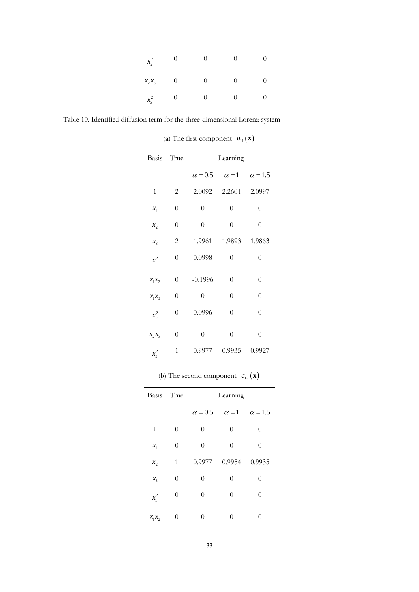| $x_2^2$  | O | $\cup$   |                  |   |
|----------|---|----------|------------------|---|
| $x_2x_3$ | 0 | O        | $\left( \right)$ | 0 |
| $x_3^2$  | 0 | $\theta$ | $\theta$         | 0 |

Table 10. Identified diffusion term for the three-dimensional Lorenz system

Basis True Learning  $\alpha = 0.5$   $\alpha = 1$   $\alpha = 1.5$ 1 2 2.0092 2.2601 2.0997 1 *x* 0 0 0 0  $x_{2}$  $0 \qquad 0 \qquad 0 \qquad 0$  $\mathcal{X}^{}_{3}$ 2 1.9961 1.9893 1.9863  $x_1^2$  $0\qquad 0.0998 \qquad \ 0 \qquad \quad \ 0$  $x_1 x_2$ 0 -0.1996 0 0  $x_1 x_3$ 0 0 0 0  $x_2^2$  $0\qquad 0.0996 \qquad \quad 0 \qquad \quad \quad 0$  $x_2 x_3$ 0 0 0 0  $x_3^2$ 1 0.9977 0.9935 0.9927

(a) The first component  $a_{11}(\mathbf{x})$ 

(b) The second component  $a_{12}(\mathbf{x})$ 

| Basis True |                | Learning |                                            |                  |
|------------|----------------|----------|--------------------------------------------|------------------|
|            |                |          | $\alpha = 0.5$ $\alpha = 1$ $\alpha = 1.5$ |                  |
| 1          | 0              | $\theta$ | 0                                          | $\left( \right)$ |
| $x_{1}$    | $\overline{0}$ | $\theta$ | $\theta$                                   | $\theta$         |
| $x_{2}$    | $\mathbf{1}$   | 0.9977   | 0.9954                                     | 0.9935           |
| $x_{3}$    | $\theta$       | $\theta$ | $\theta$                                   | 0                |
| $x_1^2$    | $\theta$       | $\theta$ | $\Omega$                                   | 0                |
| $x_1x_2$   | 0              | 0        | $\Omega$                                   | 0                |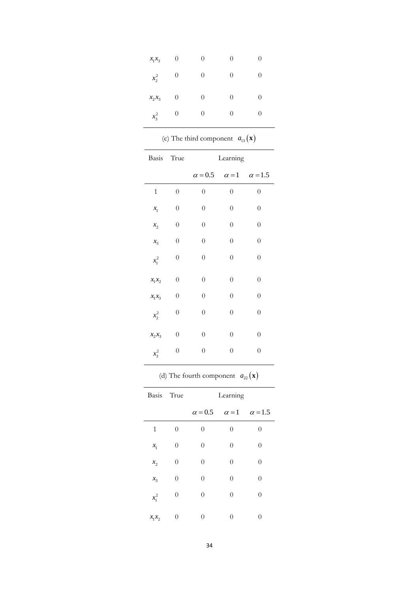| $x_1x_3$ | 0 | $\theta$         | 0 | 0                |
|----------|---|------------------|---|------------------|
| $x_2^2$  | 0 | 0                | 0 | $\left( \right)$ |
| $x_2x_3$ | 0 | 0                | 0 | 0                |
| $x_3^2$  | 0 | $\left( \right)$ | 0 |                  |

| (c) The third component $a_{13}(\mathbf{x})$ |                  |                  |                  |                             |
|----------------------------------------------|------------------|------------------|------------------|-----------------------------|
| Basis                                        | True             |                  | Learning         |                             |
|                                              |                  | $\alpha = 0.5$   |                  | $\alpha = 1$ $\alpha = 1.5$ |
| $\mathbf{1}$                                 | $\overline{0}$   | $\overline{0}$   | $\overline{0}$   | $\boldsymbol{0}$            |
| $x_{\!\scriptscriptstyle 1}$                 | $\boldsymbol{0}$ | $\overline{0}$   | $\overline{0}$   | $\boldsymbol{0}$            |
| $x_{2}$                                      | $\boldsymbol{0}$ | $\boldsymbol{0}$ | $\overline{0}$   | $\theta$                    |
| $x_{3}$                                      | $\overline{0}$   | $\overline{0}$   | $\overline{0}$   | $\boldsymbol{0}$            |
| $x_1^2$                                      | $\boldsymbol{0}$ | $\boldsymbol{0}$ | 0                | $\boldsymbol{0}$            |
| $x_1x_2$                                     | $\boldsymbol{0}$ | $\overline{0}$   | $\boldsymbol{0}$ | $\overline{0}$              |
| $x_1x_3$                                     | $\boldsymbol{0}$ | $\overline{0}$   | $\overline{0}$   | $\theta$                    |
| $x_2^2$                                      | $\boldsymbol{0}$ | $\boldsymbol{0}$ | 0                | $\boldsymbol{0}$            |
| $x_2x_3$                                     | $\overline{0}$   | $\overline{0}$   | $\overline{0}$   | $\overline{0}$              |
| $x_3^2$                                      | $\boldsymbol{0}$ | $\overline{0}$   | $\overline{0}$   | $\overline{0}$              |

(d) The fourth component  $a_{22}(\mathbf{x})$ 

| Basis True |                  | Learning                                   |          |          |
|------------|------------------|--------------------------------------------|----------|----------|
|            |                  | $\alpha = 0.5$ $\alpha = 1$ $\alpha = 1.5$ |          |          |
| 1          | $\theta$         | $\theta$                                   | $\theta$ | 0        |
| $x_{1}$    | 0                | $\theta$                                   | $\theta$ | $\theta$ |
| $x_{2}$    | $\overline{0}$   | $\theta$                                   | $\theta$ | $\theta$ |
| $x_3$      | $\boldsymbol{0}$ | $\theta$                                   | $\theta$ | $\theta$ |
| $x_1^2$    | $\boldsymbol{0}$ | $\theta$                                   | $\theta$ | $\theta$ |
| $x_1x_2$   | $\overline{0}$   | $\Omega$                                   | $\Omega$ | 0        |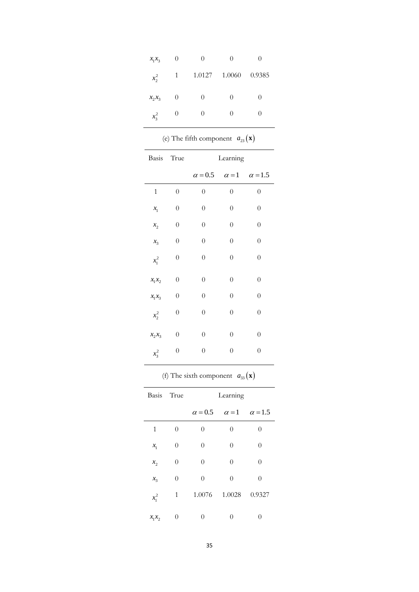| $x_1x_3$ | $\theta$ | $\left( \right)$ |                  | 0                 |
|----------|----------|------------------|------------------|-------------------|
| $x_2^2$  | 1        | 1.0127           | 1.0060           | 0.9385            |
| $x_2x_3$ | $\theta$ | $\theta$         | $\left( \right)$ | $\left( \right)$  |
| $x_3^2$  | 0        | $\left( \right)$ |                  | $\mathbf{\Omega}$ |

(e) The fifth component  $a_{23}(\mathbf{x})$ 

|              | Basis True       | Learning                                   |                  |                  |
|--------------|------------------|--------------------------------------------|------------------|------------------|
|              |                  | $\alpha = 0.5$ $\alpha = 1$ $\alpha = 1.5$ |                  |                  |
| $\mathbf{1}$ | $\overline{0}$   | $\overline{0}$                             | $\overline{0}$   | $\overline{0}$   |
| $x_{1}$      | $\overline{0}$   | $\overline{0}$                             | $\overline{0}$   | $\overline{0}$   |
| $x_{2}$      | $\overline{0}$   | $\overline{0}$                             | $\overline{0}$   | $\overline{0}$   |
| $x_{3}$      | $\overline{0}$   | $\overline{0}$                             | $\boldsymbol{0}$ | $\overline{0}$   |
| $x_1^2$      | $\boldsymbol{0}$ | $\boldsymbol{0}$                           | $\boldsymbol{0}$ | $\boldsymbol{0}$ |
| $x_1x_2$     | $\boldsymbol{0}$ | $\boldsymbol{0}$                           | $\boldsymbol{0}$ | $\boldsymbol{0}$ |
| $x_1x_3$     | $\overline{0}$   | $\boldsymbol{0}$                           | $\overline{0}$   | $\overline{0}$   |
| $x_2^2$      | $\boldsymbol{0}$ | $\boldsymbol{0}$                           | $\boldsymbol{0}$ | $\boldsymbol{0}$ |
| $x_2x_3$     | $\boldsymbol{0}$ | $\overline{0}$                             | $\overline{0}$   | $\boldsymbol{0}$ |
| $x_3^2$      | $\overline{0}$   | $\overline{0}$                             | $\boldsymbol{0}$ | $\boldsymbol{0}$ |

(f) The sixth component  $a_{33}(\mathbf{x})$ 

| Basis True |                | Learning       |                             |          |
|------------|----------------|----------------|-----------------------------|----------|
|            |                | $\alpha = 0.5$ | $\alpha = 1$ $\alpha = 1.5$ |          |
| 1          | $\overline{0}$ | $\theta$       | $\theta$                    | 0        |
| $x_{1}$    | 0              | $\theta$       | $\theta$                    | $\theta$ |
| $x_{2}$    | $\overline{0}$ | $\theta$       | $\theta$                    | $\theta$ |
| $x_{3}$    | 0              | $\theta$       | $\theta$                    | $\theta$ |
| $x_1^2$    | $\mathbf{1}$   | 1.0076         | 1.0028                      | 0.9327   |
| $x_1x_2$   | 0              | 0              | 0                           | 0        |